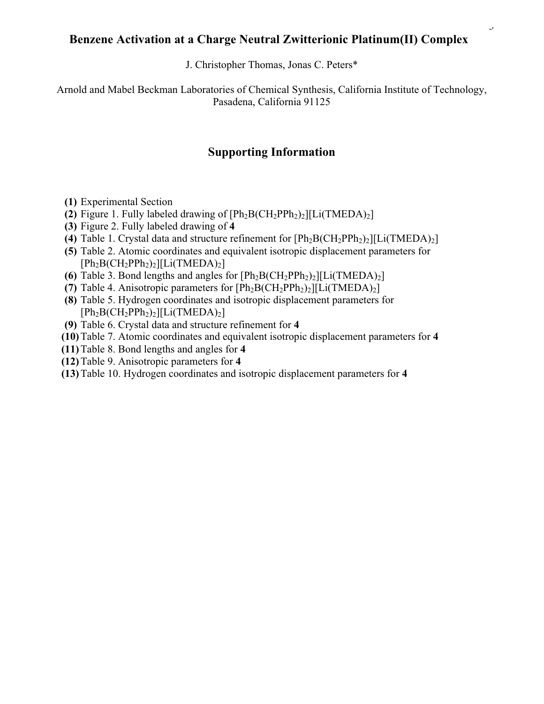## **Benzene Activation at a Charge Neutral Zwitterionic Platinum(II) Complex**

 $\overline{J}$ 

J. Christopher Thomas, Jonas C. Peters\*

Arnold and Mabel Beckman Laboratories of Chemical Synthesis, California Institute of Technology, Pasadena, California 91125

## **Supporting Information**

- **(1)** Experimental Section
- **(2)** Figure 1. Fully labeled drawing of  $\left[\text{Ph}_2\text{B}(\text{CH}_2\text{PPh}_2)_2\right]\left[\text{Li}(\text{TMEDA})_2\right]$
- **(3)** Figure 2. Fully labeled drawing of **4**
- **(4)** Table 1. Crystal data and structure refinement for  $\left[\text{Ph}_2\text{B}(\text{CH}_2\text{PPh}_2)_2\right]\left[\text{Li}(\text{TMEDA})_2\right]$
- **(5)** Table 2. Atomic coordinates and equivalent isotropic displacement parameters for  $[Ph_2B(CH_2PPh_2)_2][Li(TMEDA)_2]$
- **(6)** Table 3. Bond lengths and angles for  $\left[\text{Ph}_2\text{B}(\text{CH}_2\text{PPh}_2)_2\right]\left[\text{Li}(\text{TMEDA})_2\right]$
- **(7)** Table 4. Anisotropic parameters for  $\left[\text{Ph}_2\text{B}(\text{CH}_2\text{PPh}_2)_2\right]\left[\text{Li}(\text{TMEDA})_2\right]$
- **(8)** Table 5. Hydrogen coordinates and isotropic displacement parameters for  $[Ph<sub>2</sub>B(CH<sub>2</sub>PPh<sub>2</sub>)<sub>2</sub>][Li(TMEDA)<sub>2</sub>]$
- **(9)** Table 6. Crystal data and structure refinement for **4**
- **(10)**Table 7. Atomic coordinates and equivalent isotropic displacement parameters for **4**
- **(11)**Table 8. Bond lengths and angles for **4**
- **(12)**Table 9. Anisotropic parameters for **4**
- **(13)**Table 10. Hydrogen coordinates and isotropic displacement parameters for **4**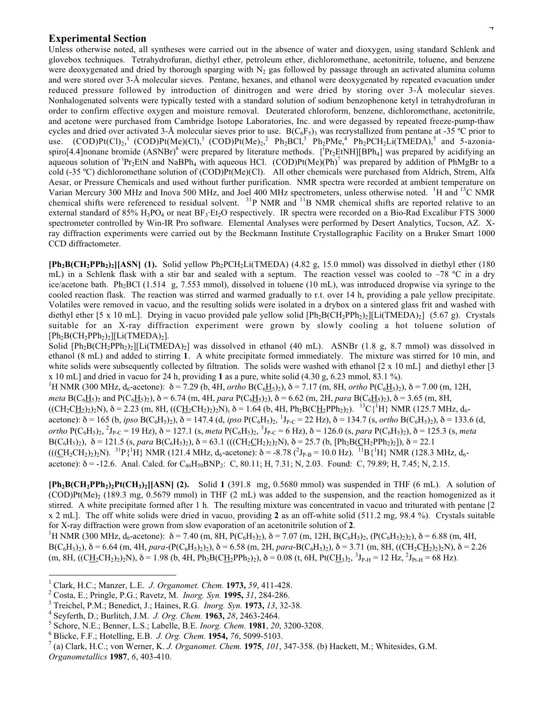#### **Experimental Section**

Unless otherwise noted, all syntheses were carried out in the absence of water and dioxygen, using standard Schlenk and glovebox techniques. Tetrahydrofuran, diethyl ether, petroleum ether, dichloromethane, acetonitrile, toluene, and benzene were deoxygenated and dried by thorough sparging with  $N<sub>2</sub>$  gas followed by passage through an activated alumina column and were stored over 3-Å molecular sieves. Pentane, hexanes, and ethanol were deoxygenated by repeated evacuation under reduced pressure followed by introduction of dinitrogen and were dried by storing over 3-Å molecular sieves. Nonhalogenated solvents were typically tested with a standard solution of sodium benzophenone ketyl in tetrahydrofuran in order to confirm effective oxygen and moisture removal. Deuterated chloroform, benzene, dichloromethane, acetonitrile, and acetone were purchased from Cambridge Isotope Laboratories, Inc. and were degassed by repeated freeze-pump-thaw cycles and dried over activated 3-Å molecular sieves prior to use.  $B(C_6F_5)$  was recrystallized from pentane at -35 °C prior to use.  $(COD)Pt(Cl)_2$ ,  $(COD)Pt(Me)(Cl)$ ,  $(COD)Pt(Me)_2$ ,  $Ph_2BCl$ ,  $Ph_2PMe$ ,  $Ph_2PCH_2Li(TMEDA)$ , and 5-azoniaspiro[4.4]nonane bromide  $(ASNBr)^6$  were prepared by literature methods. [ ${}^1Pr_2EtNH][BPh_4]$  was prepared by acidifying an aqueous solution of  $Pr_2EtN$  and NaBPh<sub>4</sub> with aqueous HCl. (COD)Pt(Me)(Ph)<sup>7</sup> was prepared by addition of PhMgBr to a cold (-35 ºC) dichloromethane solution of (COD)Pt(Me)(Cl). All other chemicals were purchased from Aldrich, Strem, Alfa Aesar, or Pressure Chemicals and used without further purification. NMR spectra were recorded at ambient temperature on Varian Mercury 300 MHz and Inova 500 MHz, and Joel 400 MHz spectrometers, unless otherwise noted. <sup>1</sup>H and <sup>13</sup>C NMR chemical shifts were referenced to residual solvent. <sup>31</sup>P NMR and <sup>11</sup>B NMR chemical shifts are reported relative to an external standard of 85%  $H_3PO_4$  or neat  $BF_3E_2O$  respectively. IR spectra were recorded on a Bio-Rad Excalibur FTS 3000 spectrometer controlled by Win-IR Pro software. Elemental Analyses were performed by Desert Analytics, Tucson, AZ. Xray diffraction experiments were carried out by the Beckmann Institute Crystallographic Facility on a Bruker Smart 1000 CCD diffractometer.

 $[Ph_2B(CH_2PPh_2)_2][ASN]$  (1). Solid yellow  $Ph_2PCH_2Li(TMEDA)$  (4.82 g, 15.0 mmol) was dissolved in diethyl ether (180) mL) in a Schlenk flask with a stir bar and sealed with a septum. The reaction vessel was cooled to  $-78$  °C in a dry ice/acetone bath. Ph<sub>2</sub>BCl (1.514 g, 7.553 mmol), dissolved in toluene (10 mL), was introduced dropwise via syringe to the cooled reaction flask. The reaction was stirred and warmed gradually to r.t. over 14 h, providing a pale yellow precipitate. Volatiles were removed in vacuo, and the resulting solids were isolated in a drybox on a sintered glass frit and washed with diethyl ether [5 x 10 mL]. Drying in vacuo provided pale yellow solid  $[Ph_2B(CH_2PPh_2)_2][Li(TMEDA)_2]$  (5.67 g). Crystals suitable for an X-ray diffraction experiment were grown by slowly cooling a hot toluene solution of  $[Ph<sub>2</sub>B(CH<sub>2</sub>PPh<sub>2</sub>)<sub>2</sub>][Li(TMEDA)<sub>2</sub>].$ 

Solid  $[Ph_2B(CH_2PPh_2)_2][Li(TMEDA)_2]$  was dissolved in ethanol (40 mL). ASNBr (1.8 g, 8.7 mmol) was dissolved in ethanol (8 mL) and added to stirring **1**. A white precipitate formed immediately. The mixture was stirred for 10 min, and white solids were subsequently collected by filtration. The solids were washed with ethanol  $[2 \times 10 \text{ mL}]$  and diethyl ether  $[3 \text{$ x 10 mL] and dried in vacuo for 24 h, providing **1** as a pure, white solid (4.30 g, 6.23 mmol, 83.1 %). <sup>1</sup>

<sup>1</sup>H NMR (300 MHz, d<sub>6</sub>-acetone):  $\delta$  = 7.29 (b, 4H, *ortho* B(C<sub>6</sub>H<sub>5</sub>)<sub>2</sub>),  $\delta$  = 7.17 (m, 8H, *ortho* P(C<sub>6</sub>H<sub>5</sub>)<sub>2</sub>),  $\delta$  = 7.00 (m, 12H, *meta*  $B(C_6H_5)$ <sub>2</sub> and  $P(C_6H_5)$ <sub>2</sub>),  $\delta = 6.74$  (m, 4H, *para*  $P(C_6H_5)$ <sub>2</sub>),  $\delta = 6.62$  (m, 2H, *para*  $B(C_6H_5)$ <sub>2</sub>),  $\delta = 3.65$  (m, 8H,  $((CH_2CH_2)_2)_2N)$ ,  $\delta = 2.23$  (m, 8H,  $((CH_2CH_2)_2)_2N)$ ,  $\delta = 1.64$  (b, 4H, Ph<sub>2</sub>B(C<u>H</u><sub>2</sub>PPh<sub>2</sub>)<sub>2</sub>). <sup>13</sup>C{<sup>1</sup>H} NMR (125.7 MHz, d<sub>6</sub>acetone):  $\delta = 165$  (b, *ipso* B(C<sub>6</sub>H<sub>5</sub>)<sub>2</sub>),  $\delta = 147.4$  (d, *ipso* P(C<sub>6</sub>H<sub>5</sub>)<sub>2</sub>, <sup>1</sup>J<sub>P-C</sub> = 22 Hz),  $\delta = 134.7$  (s, *ortho* B(C<sub>6</sub>H<sub>5</sub>)<sub>2</sub>),  $\delta = 133.6$  (d, *ortho* P(C<sub>6</sub>H<sub>5</sub>)<sub>2</sub>, <sup>2</sup>J<sub>P-C</sub> = 19 Hz), δ = 127.1 (s, *meta* P(C<sub>6</sub>H<sub>5</sub>)<sub>2</sub>, <sup>3</sup>J<sub>P-C</sub> = 6 Hz), δ = 126.0 (s, *para* P(C<sub>6</sub>H<sub>5</sub>)<sub>2</sub>), δ = 125.3 (s, *meta* B(C<sub>6</sub>H<sub>5</sub>)<sub>2</sub>), δ = 121.5 (s, *para* B(C<sub>6</sub>H<sub>5</sub>)<sub>2</sub>), δ = 63.1 (((CH<sub>2</sub>CH<sub>2</sub>)<sub>2</sub>)<sub>2</sub>N), δ = 25.7 (b, [Ph<sub>2</sub>B(<u>C</u>H<sub>2</sub>PPh<sub>2</sub>)<sub>2</sub>]), δ = 22.1  $(((\underline{CH}_2CH_2)_2)_2N)$ . <sup>31</sup>P{<sup>1</sup>H} NMR (121.4 MHz, d<sub>6</sub>-acetone):  $\delta$  = -8.78 (<sup>2</sup>J<sub>P-B</sub> = 10.0 Hz). <sup>11</sup>B{<sup>1</sup>H} NMR (128.3 MHz, d<sub>6</sub>acetone):  $\delta$  = -12.6. Anal. Calcd. for C<sub>46</sub>H<sub>50</sub>BNP<sub>2</sub>: C, 80.11; H, 7.31; N, 2.03. Found: C, 79.89; H, 7.45; N, 2.15.

**[Ph2B(CH2PPh2)2Pt(CH3)2][ASN] (2).** Solid **1** (391.8 mg, 0.5680 mmol) was suspended in THF (6 mL). A solution of  $(COD)Pt(Me)_2$  (189.3 mg, 0.5679 mmol) in THF (2 mL) was added to the suspension, and the reaction homogenized as it stirred. A white precipitate formed after 1 h. The resulting mixture was concentrated in vacuo and triturated with pentane [2 x 2 mL]. The off white solids were dried in vacuo, providing **2** as an off-white solid (511.2 mg, 98.4 %). Crystals suitable for X-ray diffraction were grown from slow evaporation of an acetonitrile solution of **2**. <sup>1</sup>

<sup>1</sup>H NMR (300 MHz, d<sub>6</sub>-acetone): δ = 7.40 (m, 8H, P(C<sub>6</sub>H<sub>5</sub>)<sub>2</sub>), δ = 7.07 (m, 12H, B(C<sub>6</sub>H<sub>5</sub>)<sub>2</sub>), (P(C<sub>6</sub>H<sub>5</sub>)<sub>2</sub>)<sub>2</sub>), δ = 6.88 (m, 4H, B(C<sub>6</sub>H<sub>5</sub>)<sub>2</sub>), δ = 6.64 (m, 4H, *para*-(P(C<sub>6</sub>H<sub>5</sub>)<sub>2</sub>)<sub>2</sub>), δ = 6.58 (m, 2H, *para*-B(C<sub>6</sub>H<sub>5</sub>)<sub>2</sub>), δ = 3.71 (m, 8H, ((CH<sub>2</sub>C<u>H<sub>2</sub>)<sub>2</sub>)<sub>2</sub>N), δ = 2.26</u> (m, 8H,  $((C\underline{H}_2CH_2)_2)_2N$ ),  $\delta = 1.98$  (b, 4H, Ph<sub>2</sub>B(C<u>H</u><sub>2</sub>PPh<sub>2</sub>)<sub>2</sub>),  $\delta = 0.08$  (t, 6H, Pt(C<u>H</u><sub>3</sub>)<sub>2</sub>, <sup>3</sup>J<sub>P+H</sub> = 12 Hz, <sup>2</sup>J<sub>Pt-H</sub> = 68 Hz).

<sup>|&</sup>lt;br>|<br>| Clark, H.C.; Manzer, L.E. *J. Organomet. Chem.* **1973,** *59*, 411-428. <sup>2</sup>

Costa, E.; Pringle, P.G.; Ravetz, M. *Inorg. Syn.* **1995,** *31*, 284-286. <sup>3</sup>

Treichel, P.M.; Benedict, J.; Haines, R.G. *Inorg. Syn.* **1973,** *13*, 32-38. <sup>4</sup>

Seyferth, D.; Burlitch, J.M. *J. Org. Chem.* **1963**, 28, 2463-2464.

Schore, N.E.; Benner, L.S.; Labelle, B.E. *Inorg. Chem.* **<sup>1981</sup>**, *20*, 3200-3208. <sup>6</sup>

Blicke, F.F.; Hotelling, E.B. *J. Org. Chem.* **1954,** *76*, 5099-5103. <sup>7</sup>

 <sup>(</sup>a) Clark, H.C.; von Werner, K. *J. Organomet. Chem.* **1975**, *101*, 347-358. (b) Hackett, M.; Whitesides, G.M.

*Organometallics* **1987**, *6*, 403-410.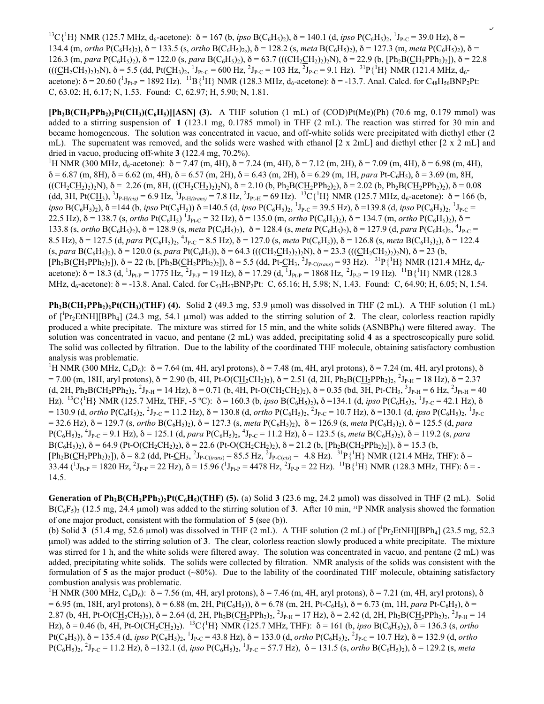${}^{13}C\{{}^{1}H\}$  NMR (125.7 MHz, d<sub>6</sub>-acetone): δ = 167 (b, *ipso* B(C<sub>6</sub>H<sub>5</sub>)<sub>2</sub>), δ = 140.1 (d, *ipso* P(C<sub>6</sub>H<sub>5</sub>)<sub>2</sub>, <sup>1</sup>J<sub>P-C</sub> = 39.0 Hz), δ = 134.4 (m, *ortho* P(C6H5)2), δ = 133.5 (s, *ortho* B(C6H5)2,), δ = 128.2 (s, *meta* B(C6H5)2), δ = 127.3 (m, *meta* P(C6H5)2), δ = 126.3 (m, *para* P(C<sub>6</sub>H<sub>5</sub>)<sub>2</sub>), δ = 122.0 (s, *para* B(C<sub>6</sub>H<sub>5</sub>)<sub>2</sub>), δ = 63.7 (((CH<sub>2</sub>CH<sub>2</sub>)<sub>2</sub>)<sub>2</sub>N), δ = 22.9 (b, [Ph<sub>2</sub>B(CH<sub>2</sub>PPh<sub>2</sub>)<sub>2</sub>]), δ = 22.8  $(((\underline{CH}_2CH_2)_2)_2N)$ ,  $\delta = 5.5$  (dd, Pt( $\underline{CH}_3)_2$ ,  ${}^1J_{PLC} = 600$  Hz,  ${}^2J_{P\cdot C} = 103$  Hz,  ${}^2J_{P\cdot C} = 9.1$  Hz).  ${}^{31}P\{{}^1H\}$  NMR (121.4 MHz,  $d_6$ acetone):  $\delta = 20.60 \, (^1J_{Pt\text{-}P} = 1892 \, \text{Hz})$ .  $^{11}B\{^1H\}$  NMR (128.3 MHz, d<sub>6</sub>-acetone):  $\delta = -13.7$ . Anal. Calcd. for C<sub>48</sub>H<sub>56</sub>BNP<sub>2</sub>Pt: C, 63.02; H, 6.17; N, 1.53. Found: C, 62.97; H, 5.90; N, 1.81.

 $[Ph_2B(CH_2PPh_2)_2Pt(CH_3)(C_6H_5)[[ASN]$  (3). A THF solution (1 mL) of (COD)Pt(Me)(Ph) (70.6 mg, 0.179 mmol) was added to a stirring suspension of **1** (123.1 mg, 0.1785 mmol) in THF (2 mL). The reaction was stirred for 30 min and became homogeneous. The solution was concentrated in vacuo, and off-white solids were precipitated with diethyl ether (2 mL). The supernatent was removed, and the solids were washed with ethanol  $[2 \times 2mL]$  and diethyl ether  $[2 \times 2mL]$  and dried in vacuo, producing off-white **3** (122.4 mg, 70.2%). <sup>1</sup>

<sup>1</sup>H NMR (300 MHz, d<sub>6</sub>-acetone):  $\delta$  = 7.47 (m, 4H),  $\delta$  = 7.24 (m, 4H),  $\delta$  = 7.12 (m, 2H),  $\delta$  = 7.09 (m, 4H),  $\delta$  = 6.98 (m, 4H), δ = 6.87 (m, 8H), δ = 6.62 (m, 4H), δ = 6.57 (m, 2H), δ = 6.43 (m, 2H), δ = 6.29 (m, 1H, *para* Pt-C6H5), δ = 3.69 (m, 8H,  $((CH_2CH_2)_2)_2N$ ,  $\delta = 2.26$  (m, 8H,  $((CH_2CH_2)_2)_2N$ ,  $\delta = 2.10$  (b,  $Ph_2B(CH_2PPh_2)_2$ ),  $\delta = 2.02$  (b,  $Ph_2B(CH_2PPh_2)_2$ ),  $\delta = 0.08$ (dd, 3H, Pt(C<u>H<sub>3</sub>)</u>, <sup>3</sup>J<sub>P-H(cis)</sub> = 6.9 Hz, <sup>3</sup>J<sub>P-H(trans)</sub> = 7.8 Hz, <sup>2</sup>J<sub>Pt-H</sub> = 69 Hz). <sup>13</sup>C{<sup>1</sup>H} NMR (125.7 MHz, d<sub>6</sub>-acetone): δ = 166 (b, *ipso* B(C<sub>6</sub>H<sub>5</sub>)<sub>2</sub>), δ =144 (b, *ipso* Pt(C<sub>6</sub>H<sub>5</sub>)) δ =140.5 (d, *ipso* P(C<sub>6</sub>H<sub>5</sub>)<sub>2</sub>, <sup>1</sup>J<sub>P-C</sub> = 39.5 Hz), δ =139.8 (d, *ipso* P(C<sub>6</sub>H<sub>5</sub>)<sub>2</sub>, <sup>1</sup>J<sub>P-C</sub> = 22.5 Hz),  $\delta$  = 138.7 (s, *ortho* Pt(C<sub>6</sub>H<sub>5</sub>)<sup>1</sup>J<sub>Pt-C</sub> = 32 Hz),  $\delta$  = 135.0 (m, *ortho* P(C<sub>6</sub>H<sub>5</sub>)<sub>2</sub>),  $\delta$  = 134.7 (m, *ortho* P(C<sub>6</sub>H<sub>5</sub>)<sub>2</sub>),  $\delta$  = 133.8 (s, *ortho* B(C<sub>6</sub>H<sub>5</sub>)<sub>2</sub>), δ = 128.9 (s, *meta* P(C<sub>6</sub>H<sub>5</sub>)<sub>2</sub>), δ = 128.4 (s, *meta* P(C<sub>6</sub>H<sub>5</sub>)<sub>2</sub>), δ = 127.9 (d, *para* P(C<sub>6</sub>H<sub>5</sub>)<sub>2</sub>, <sup>4</sup>J<sub>P-C</sub> = 8.5 Hz), δ = 127.5 (d, para P(C<sub>6</sub>H<sub>5</sub>)<sub>2</sub>, <sup>4</sup>J<sub>P-C</sub> = 8.5 Hz), δ = 127.0 (s, meta Pt(C<sub>6</sub>H<sub>5</sub>)), δ = 126.8 (s, meta B(C<sub>6</sub>H<sub>5</sub>)<sub>2</sub>), δ = 122.4 (s, *para* B(C<sub>6</sub>H<sub>5</sub>)<sub>2</sub>),  $\delta$  = 120.0 (s, *para* Pt(C<sub>6</sub>H<sub>5</sub>)),  $\delta$  = 64.3 (((CH<sub>2</sub>CH<sub>2</sub>)<sub>2</sub>)<sub>2</sub>N),  $\delta$  = 23.3 (((CH<sub>2</sub>CH<sub>2</sub>)<sub>2</sub>)<sub>2</sub>N),  $\delta$  = 23.3  $[Ph_2B(\underline{CH}_2PPh_2)_2]$ ),  $\delta = 22$  (b,  $[Ph_2B(\underline{CH}_2PPh_2)_2]$ ),  $\delta = 5.5$  (dd, Pt- $\underline{CH}_3$ ,  ${}^2J_{P\text{-}C(trans)} = 93$  Hz).  ${}^{31}P\{{}^1H\}$  NMR (121.4 MHz,  $d_6$ acetone):  $\delta = 18.3$  (d,  $^{1}$ J<sub>Pt-P</sub> = 1775 Hz,  $^{2}$ J<sub>P-P</sub> = 19 Hz),  $\delta = 17.29$  (d,  $^{1}$ J<sub>Pt-P</sub> = 1868 Hz,  $^{2}$ J<sub>P-P</sub> = 19 Hz). <sup>11</sup>B{<sup>1</sup>H} NMR (128.3 MHz,  $d_6$ -acetone):  $\delta$  = -13.8. Anal. Calcd. for  $C_{53}H_{57}BNP_2Pt$ : C, 65.16; H, 5.98; N, 1.43. Found: C, 64.90; H, 6.05; N, 1.54.

**Ph<sub>2</sub>B(CH<sub>2</sub>PPh<sub>2</sub>)<sub>2</sub>Pt(CH<sub>3</sub>)(THF) (4).** Solid 2 (49.3 mg, 53.9 µmol) was dissolved in THF (2 mL). A THF solution (1 mL) of [<sup>i</sup> Pr2EtNH][BPh4] (24.3 mg, 54.1 µmol) was added to the stirring solution of **2**. The clear, colorless reaction rapidly produced a white precipitate. The mixture was stirred for 15 min, and the white solids (ASNBPh<sub>4</sub>) were filtered away. The solution was concentrated in vacuo, and pentane (2 mL) was added, precipitating solid **4** as a spectroscopically pure solid. The solid was collected by filtration. Due to the lability of the coordinated THF molecule, obtaining satisfactory combustion analysis was problematic.

<sup>1</sup>H NMR (300 MHz, C<sub>6</sub>D<sub>6</sub>): δ = 7.64 (m, 4H, aryl protons), δ = 7.48 (m, 4H, aryl protons), δ = 7.24 (m, 4H, aryl protons), δ = 7.00 (m, 18H, aryl protons), δ = 2.90 (b, 4H, Pt-O(C<u>H</u><sub>2</sub>CH<sub>2</sub>)<sub>2</sub>), δ = 2.51 (d, 2H, Ph<sub>2</sub>B(C<u>H<sub>2</sub></u>PPh<sub>2</sub>)<sub>2</sub>, <sup>2</sup>J<sub>P-H</sub> = 18 Hz), δ = 2.37 (d, 2H, Ph<sub>2</sub>B(C<u>H<sub>2</sub></u>PPh<sub>2</sub>)<sub>2</sub>, <sup>2</sup>J<sub>P-H</sub> = 14 Hz),  $\delta$  = 0.71 (b, 4H, Pt-O(CH<sub>2</sub>C<u>H<sub>2</sub>)<sub>2</sub>)</u>,  $\delta$  = 0.35 (bd, 3H, Pt-C<u>H</u><sub>3</sub>, <sup>3</sup>J<sub>P-H</sub> = 6 Hz, <sup>2</sup>J<sub>Pt-H</sub> = 40 Hz). <sup>13</sup>C{<sup>1</sup>H} NMR (125.7 MHz, THF, -5 °C): δ = 160.3 (b, *ipso* B(C<sub>6</sub>H<sub>5</sub>)<sub>2</sub>), δ =134.1 (d, *ipso* P(C<sub>6</sub>H<sub>5</sub>)<sub>2</sub>, <sup>1</sup>J<sub>P-C</sub> = 42.1 Hz), δ = 130.9 (d, *ortho* P(C<sub>6</sub>H<sub>5</sub>)<sub>2</sub>, <sup>2</sup>J<sub>P-C</sub> = 11.2 Hz), δ = 130.8 (d, *ortho* P(C<sub>6</sub>H<sub>5</sub>)<sub>2</sub>, <sup>2</sup>J<sub>P-C</sub> = 10.7 Hz), δ =130.1 (d, *ipso* P(C<sub>6</sub>H<sub>5</sub>)<sub>2</sub>, <sup>1</sup>J<sub>P-C</sub>  $=$  32.6 Hz), δ = 129.7 (s, *ortho* B(C<sub>6</sub>H<sub>5</sub>)<sub>2</sub>), δ = 127.3 (s, *meta* P(C<sub>6</sub>H<sub>5</sub>)<sub>2</sub>), δ = 126.9 (s, *meta* P(C<sub>6</sub>H<sub>5</sub>)<sub>2</sub>), δ = 125.5 (d, *para*  $P(C_6H_5)_2$ ,  ${}^4J_{P-C} = 9.1$  Hz),  $\delta = 125.1$  (d, *para*  $P(C_6H_5)_2$ ,  ${}^4J_{P-C} = 11.2$  Hz),  $\delta = 123.5$  (s, *meta*  $B(C_6H_5)_2$ ),  $\delta = 119.2$  (s, *para* B(C<sub>6</sub>H<sub>5</sub>)<sub>2</sub>),  $\delta$  = 64.9 (Pt-O(CH<sub>2</sub>CH<sub>2</sub>)<sub>2</sub>),  $\delta$  = 22.6 (Pt-O(CH<sub>2</sub>CH<sub>2</sub>)<sub>2</sub>),  $\delta$  = 21.2 (b, [Ph<sub>2</sub>B(CH<sub>2</sub>PPh<sub>2</sub>)<sub>2</sub>]),  $\delta$  = 15.3 (b,  $[Ph_2B(\underline{CH}_2PPh_2)_2]$ ),  $\delta = 8.2$  (dd, Pt- $\underline{CH}_3$ ,  ${}^2J_{P\text{-}C(trans)} = 85.5$  Hz,  ${}^2J_{P\text{-}C(cis)} = 4.8$  Hz).  ${}^{31}P\{{}^1H\}$  NMR (121.4 MHz, THF):  $\delta =$ 33.44 ( ${}^{1}$ J<sub>Pt-P</sub> = 1820 Hz,  ${}^{2}$ J<sub>P-P</sub> = 22 Hz),  $\delta$  = 15.96 ( ${}^{1}$ J<sub>Pt-P</sub> = 4478 Hz,  ${}^{2}$ J<sub>P-P</sub> = 22 Hz).  ${}^{11}B\{{}^{1}H\}$  NMR (128.3 MHz, THF):  $\delta$  = -14.5.

**Generation of**  $Ph_2B(CH_2PPh_2)_2Pt(C_6H_5)(THF)$  **(5).** (a) Solid 3 (23.6 mg, 24.2 µmol) was dissolved in THF (2 mL). Solid  $B(C_6F_5)$ <sub>3</sub> (12.5 mg, 24.4 µmol) was added to the stirring solution of **3**. After 10 min, <sup>31</sup>P NMR analysis showed the formation of one major product, consistent with the formulation of **5** (see (b)).

(b) Solid  $3$  (51.4 mg, 52.6 µmol) was dissolved in THF (2 mL). A THF solution (2 mL) of  $[^{i}Pr_{2}EtNH][BPh_{4}]$  (23.5 mg, 52.3 µmol) was added to the stirring solution of **3**. The clear, colorless reaction slowly produced a white precipitate. The mixture was stirred for 1 h, and the white solids were filtered away. The solution was concentrated in vacuo, and pentane (2 mL) was added, precipitating white solid**s**. The solids were collected by filtration. NMR analysis of the solids was consistent with the formulation of  $5$  as the major product  $(\sim 80\%)$ . Due to the lability of the coordinated THF molecule, obtaining satisfactory combustion analysis was problematic.

<sup>1</sup>H NMR (300 MHz, C<sub>6</sub>D<sub>6</sub>):  $\delta$  = 7.56 (m, 4H, aryl protons),  $\delta$  = 7.46 (m, 4H, aryl protons),  $\delta$  = 7.21 (m, 4H, aryl protons),  $\delta$  $= 6.95$  (m, 18H, aryl protons),  $δ = 6.88$  (m, 2H, Pt(C<sub>6</sub>H<sub>5</sub>)),  $δ = 6.78$  (m, 2H, Pt-C<sub>6</sub>H<sub>5</sub>),  $δ = 6.73$  (m, 1H, *para* Pt-C<sub>6</sub>H<sub>5</sub>),  $δ =$ 2.87 (b, 4H, Pt-O(C<u>H</u><sub>2</sub>CH<sub>2</sub>)<sub>2</sub>),  $\delta$  = 2.64 (d, 2H, Ph<sub>2</sub>B(C<u>H<sub>2</sub></u>PPh<sub>2</sub>)<sub>2</sub>, <sup>2</sup>J<sub>P-H</sub> = 17 Hz),  $\delta$  = 2.42 (d, 2H, Ph<sub>2</sub>B(C<u>H</u><sub>2</sub>PPh<sub>2</sub>)<sub>2</sub>, <sup>2</sup>J<sub>P-H</sub> = 14 Hz),  $δ = 0.46$  (b, 4H, Pt-O(CH<sub>2</sub>C<u>H<sub>2</sub>)</u><sub>2</sub>). <sup>13</sup>C{<sup>1</sup>H} NMR (125.7 MHz, THF): δ = 161 (b, *ipso* B(C<sub>6</sub>H<sub>5</sub>)<sub>2</sub>), δ = 136.3 (s, *ortho* Pt(C<sub>6</sub>H<sub>5</sub>)),  $\delta$  = 135.4 (d, *ipso* P(C<sub>6</sub>H<sub>5</sub>)<sub>2</sub>, <sup>1</sup>J<sub>P-C</sub> = 43.8 Hz),  $\delta$  = 133.0 (d, *ortho* P(C<sub>6</sub>H<sub>5</sub>)<sub>2</sub>, <sup>2</sup>J<sub>P-C</sub> = 10.7 Hz),  $\delta$  = 132.9 (d, *ortho*  $P(C_6H_5)_2$ ,  ${}^2J_{P-C} = 11.2$  Hz),  $\delta = 132.1$  (d, *ipso*  $P(C_6H_5)_2$ ,  ${}^1J_{P-C} = 57.7$  Hz),  $\delta = 131.5$  (s, *ortho* B( $C_6H_5)_2$ ),  $\delta = 129.2$  (s, *meta*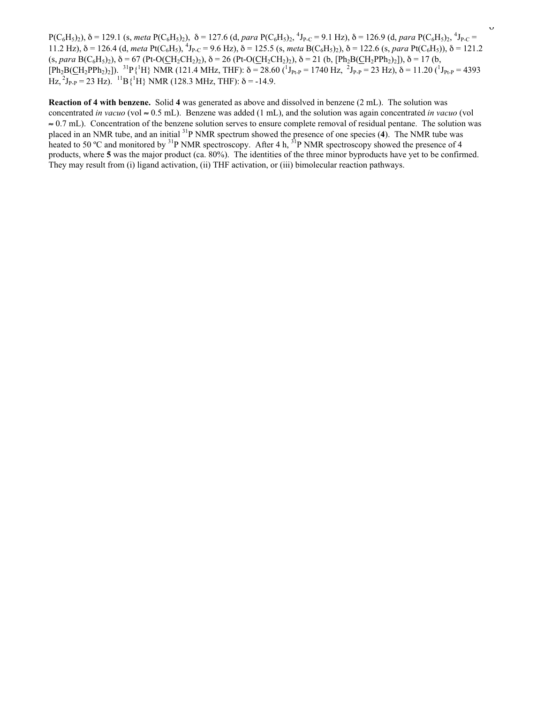P(C<sub>6</sub>H<sub>5</sub>)<sub>2</sub>), δ = 129.1 (s, meta P(C<sub>6</sub>H<sub>5</sub>)<sub>2</sub>), δ = 127.6 (d, *para* P(C<sub>6</sub>H<sub>5</sub>)<sub>2</sub>, <sup>4</sup>J<sub>P-C</sub> = 9.1 Hz), δ = 126.9 (d, *para* P(C<sub>6</sub>H<sub>5</sub>)<sub>2</sub>, <sup>4</sup>J<sub>P-C</sub> = 11.2 Hz),  $\delta$  = 126.4 (d, *meta* Pt(C<sub>6</sub>H<sub>5</sub>), <sup>4</sup>J<sub>P-C</sub> = 9.6 Hz),  $\delta$  = 125.5 (s, *meta* B(C<sub>6</sub>H<sub>5</sub>)<sub>2</sub>),  $\delta$  = 122.6 (s, *para* Pt(C<sub>6</sub>H<sub>5</sub>)),  $\delta$  = 121.2 (s, *para* B(C<sub>6</sub>H<sub>5</sub>)<sub>2</sub>),  $\delta$  = 67 (Pt-O(CH<sub>2</sub>CH<sub>2</sub>)<sub>2</sub>),  $\delta$  = 26 (Pt-O(CH<sub>2</sub>CH<sub>2</sub>)<sub>2</sub>),  $\delta$  = 21 (b, [Ph<sub>2</sub>B(CH<sub>2</sub>PPh<sub>2</sub>)<sub>2</sub>]),  $\delta$  = 17 (b,  $[Ph_2B(\underline{CH}_2PPh_2)_2])$ . <sup>31</sup>P{<sup>1</sup>H} NMR (121.4 MHz, THF):  $\delta = 28.60(^1J_{Pt-P} = 1740 \text{ Hz}, ^2J_{P-P} = 23 \text{ Hz}), \delta = 11.20(^1J_{Pt-P} = 4393 \text{ Hz})$ Hz, <sup>2</sup>J<sub>P-P</sub> = 23 Hz). <sup>11</sup>B{<sup>1</sup>H} NMR (128.3 MHz, THF): δ = -14.9.

**Reaction of 4 with benzene.** Solid **4** was generated as above and dissolved in benzene (2 mL). The solution was concentrated *in vacuo* (vol ≈ 0.5 mL). Benzene was added (1 mL), and the solution was again concentrated *in vacuo* (vol ≈ 0.7 mL). Concentration of the benzene solution serves to ensure complete removal of residual pentane. The solution was placed in an NMR tube, and an initial 31P NMR spectrum showed the presence of one species (**4**). The NMR tube was heated to 50 °C and monitored by <sup>31</sup>P NMR spectroscopy. After 4 h, <sup>31</sup>P NMR spectroscopy showed the presence of 4 products, where **5** was the major product (ca. 80%). The identities of the three minor byproducts have yet to be confirmed. They may result from (i) ligand activation, (ii) THF activation, or (iii) bimolecular reaction pathways.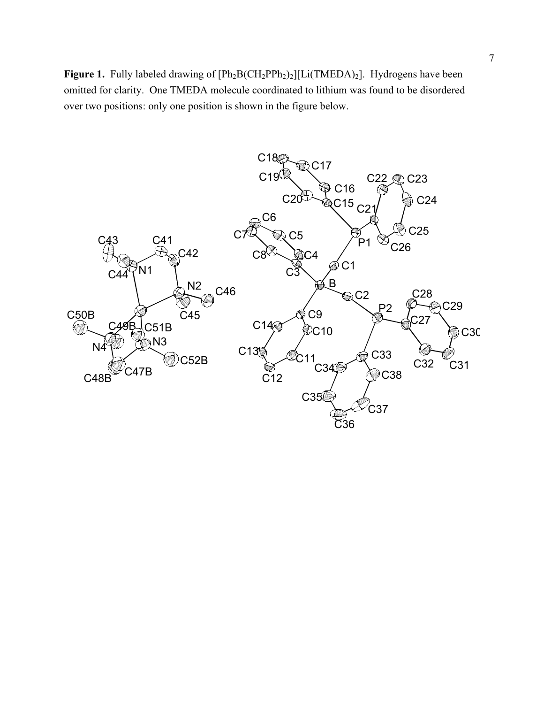**Figure 1.** Fully labeled drawing of  $[Ph_2B(CH_2PPh_2)_2][Li(TMEDA)_2]$ . Hydrogens have been omitted for clarity. One TMEDA molecule coordinated to lithium was found to be disordered over two positions: only one position is shown in the figure below.

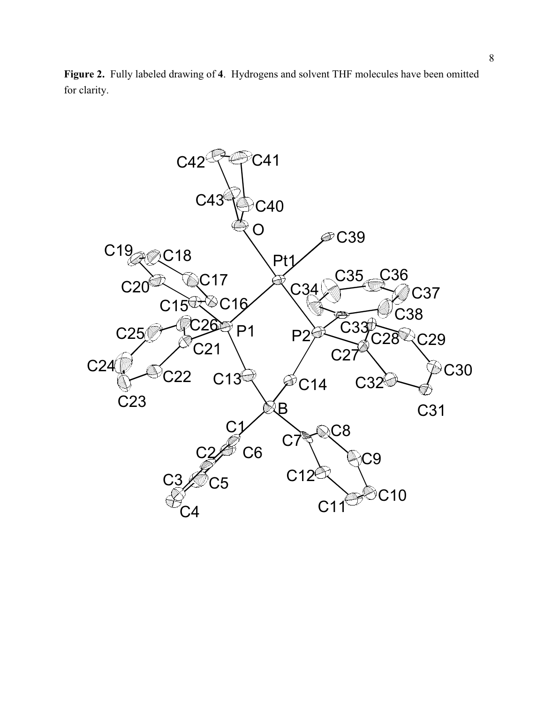**Figure 2.** Fully labeled drawing of **4**. Hydrogens and solvent THF molecules have been omitted for clarity.

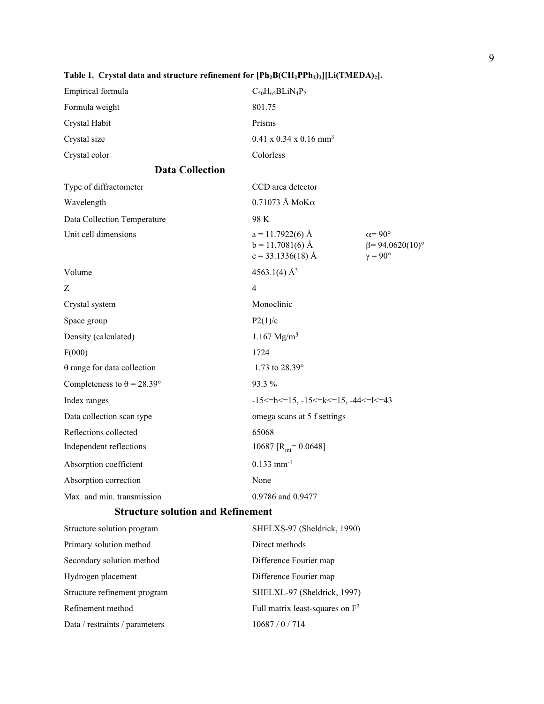| Empirical formula                                 | $C_{50}H_{65}BLiN_4P_2$                                         |                                                                        |  |
|---------------------------------------------------|-----------------------------------------------------------------|------------------------------------------------------------------------|--|
| Formula weight                                    | 801.75                                                          |                                                                        |  |
| Crystal Habit                                     | Prisms                                                          |                                                                        |  |
| Crystal size                                      | $0.41 \times 0.34 \times 0.16$ mm <sup>3</sup>                  |                                                                        |  |
| Crystal color                                     | Colorless                                                       |                                                                        |  |
| <b>Data Collection</b>                            |                                                                 |                                                                        |  |
| Type of diffractometer                            | CCD area detector                                               |                                                                        |  |
| Wavelength                                        | $0.71073$ Å MoK $\alpha$                                        |                                                                        |  |
| Data Collection Temperature                       | 98 K                                                            |                                                                        |  |
| Unit cell dimensions                              | $a = 11.7922(6)$ Å<br>$b = 11.7081(6)$ Å<br>$c = 33.1336(18)$ Å | $\alpha = 90^\circ$<br>$\beta$ = 94.0620(10)°<br>$\gamma = 90^{\circ}$ |  |
| Volume                                            | $4563.1(4)$ Å <sup>3</sup>                                      |                                                                        |  |
| Ζ                                                 | 4                                                               |                                                                        |  |
| Crystal system                                    | Monoclinic                                                      |                                                                        |  |
| Space group                                       | P2(1)/c                                                         |                                                                        |  |
| Density (calculated)                              | $1.167$ Mg/m <sup>3</sup>                                       |                                                                        |  |
| F(000)                                            | 1724                                                            |                                                                        |  |
| $\theta$ range for data collection                | 1.73 to 28.39°                                                  |                                                                        |  |
| Completeness to $\theta$ = 28.39°                 | 93.3 %                                                          |                                                                        |  |
| Index ranges                                      | $-15 \le h \le 15$ , $-15 \le k \le 15$ , $-44 \le k \le 43$    |                                                                        |  |
| Data collection scan type                         | omega scans at 5 f settings                                     |                                                                        |  |
| Reflections collected                             | 65068                                                           |                                                                        |  |
| Independent reflections                           | 10687 [ $R_{int}$ = 0.0648]                                     |                                                                        |  |
| Absorption coefficient                            | $0.133$ mm <sup>-1</sup>                                        |                                                                        |  |
| Absorption correction                             | None                                                            |                                                                        |  |
| Max. and min. transmission                        | 0.9786 and 0.9477                                               |                                                                        |  |
| <b>Structure solution and Refinement</b>          |                                                                 |                                                                        |  |
| Structure solution program                        | SHELXS-97 (Sheldrick, 1990)                                     |                                                                        |  |
| Primary solution method                           | Direct methods                                                  |                                                                        |  |
| Secondary solution method                         | Difference Fourier map                                          |                                                                        |  |
| Hydrogen placement                                | Difference Fourier map                                          |                                                                        |  |
| Structure refinement program                      | SHELXL-97 (Sheldrick, 1997)                                     |                                                                        |  |
| Refinement method                                 | Full matrix least-squares on $F^2$                              |                                                                        |  |
| 10687 / 0 / 714<br>Data / restraints / parameters |                                                                 |                                                                        |  |

# Table 1. Crystal data and structure refinement for  $[Ph_2B(CH_2PPh_2)_2][Li(TMEDA)_2]$ .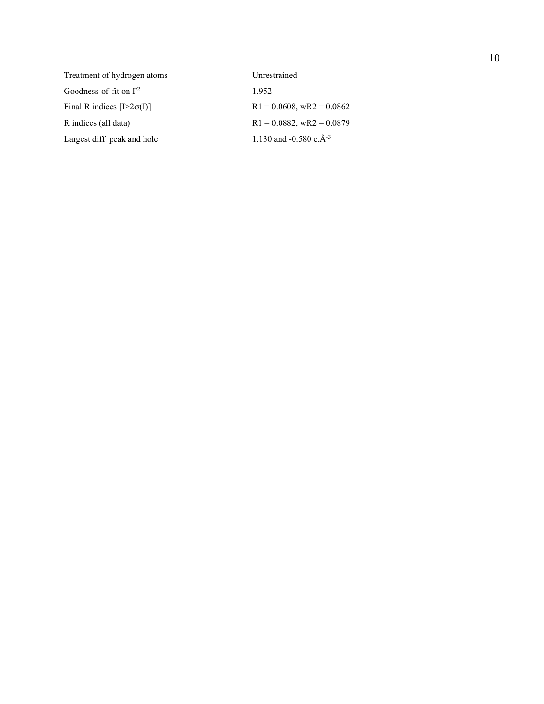| Treatment of hydrogen atoms      | Unrestrained                 |
|----------------------------------|------------------------------|
| Goodness-of-fit on $F^2$         | 1.952                        |
| Final R indices $[I>2\sigma(I)]$ | $R1 = 0.0608$ , wR2 = 0.0862 |
| R indices (all data)             | $R1 = 0.0882$ , wR2 = 0.0879 |
| Largest diff. peak and hole      | 1.130 and -0.580 e. $A^{-3}$ |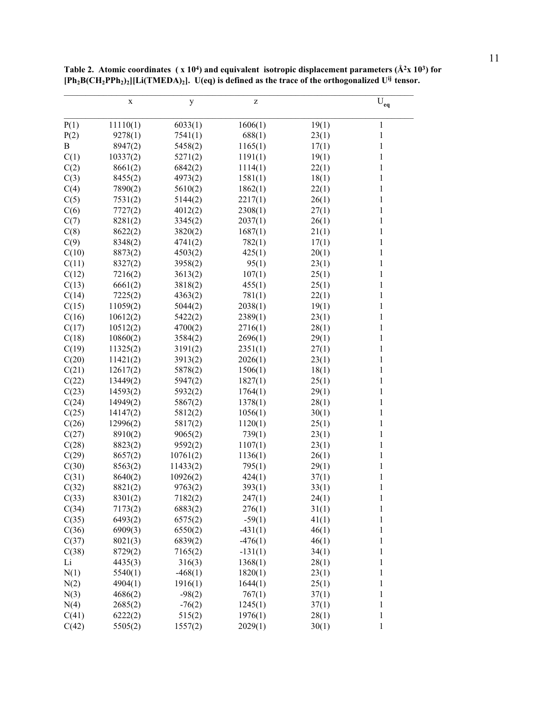|       | $\mathbf X$ | y         | Z         |       | $\overline{\mathbf{U}}_{\text{eq}}$ |
|-------|-------------|-----------|-----------|-------|-------------------------------------|
| P(1)  | 11110(1)    | 6033(1)   | 1606(1)   | 19(1) | $\mathbf{1}$                        |
| P(2)  | 9278(1)     | 7541(1)   | 688(1)    | 23(1) | $\mathbf{1}$                        |
| B     | 8947(2)     | 5458(2)   | 1165(1)   | 17(1) | $\mathbf 1$                         |
| C(1)  | 10337(2)    | 5271(2)   | 1191(1)   | 19(1) | $\mathbf{1}$                        |
| C(2)  | 8661(2)     | 6842(2)   | 1114(1)   | 22(1) | $\mathbf{1}$                        |
| C(3)  | 8455(2)     | 4973(2)   | 1581(1)   | 18(1) | $\mathbf{1}$                        |
| C(4)  | 7890(2)     | 5610(2)   | 1862(1)   | 22(1) | $\mathbf{1}$                        |
| C(5)  | 7531(2)     | 5144(2)   | 2217(1)   | 26(1) | $\mathbf{1}$                        |
| C(6)  | 7727(2)     | 4012(2)   | 2308(1)   | 27(1) | $\mathbf{1}$                        |
| C(7)  | 8281(2)     | 3345(2)   | 2037(1)   | 26(1) | $\mathbf{1}$                        |
| C(8)  | 8622(2)     | 3820(2)   | 1687(1)   | 21(1) | $\mathbf{1}$                        |
| C(9)  | 8348(2)     | 4741(2)   | 782(1)    | 17(1) | $\mathbf{1}$                        |
| C(10) | 8873(2)     | 4503(2)   | 425(1)    | 20(1) | $\mathbf{1}$                        |
| C(11) | 8327(2)     | 3958(2)   | 95(1)     | 23(1) | $\mathbf{1}$                        |
| C(12) | 7216(2)     | 3613(2)   | 107(1)    | 25(1) | $\mathbf{1}$                        |
| C(13) | 6661(2)     | 3818(2)   | 455(1)    | 25(1) | $\mathbf{1}$                        |
| C(14) | 7225(2)     | 4363(2)   | 781(1)    | 22(1) | $\mathbf{1}$                        |
| C(15) | 11059(2)    | 5044(2)   | 2038(1)   | 19(1) | $\mathbf{1}$                        |
| C(16) | 10612(2)    | 5422(2)   | 2389(1)   | 23(1) | $\mathbf{1}$                        |
| C(17) | 10512(2)    | 4700(2)   | 2716(1)   | 28(1) | $\mathbf{1}$                        |
| C(18) | 10860(2)    | 3584(2)   | 2696(1)   | 29(1) | $\mathbf{1}$                        |
| C(19) | 11325(2)    | 3191(2)   | 2351(1)   | 27(1) | $\mathbf{1}$                        |
| C(20) | 11421(2)    | 3913(2)   | 2026(1)   | 23(1) | $\mathbf{1}$                        |
| C(21) | 12617(2)    | 5878(2)   | 1506(1)   | 18(1) | $\mathbf{1}$                        |
| C(22) | 13449(2)    | 5947(2)   | 1827(1)   | 25(1) | $\mathbf{1}$                        |
| C(23) | 14593(2)    | 5932(2)   | 1764(1)   | 29(1) | $\mathbf{1}$                        |
| C(24) | 14949(2)    | 5867(2)   | 1378(1)   | 28(1) | $\mathbf{1}$                        |
| C(25) | 14147(2)    | 5812(2)   | 1056(1)   | 30(1) | $\mathbf{1}$                        |
| C(26) | 12996(2)    | 5817(2)   | 1120(1)   | 25(1) | $\mathbf{1}$                        |
| C(27) | 8910(2)     | 9065(2)   | 739(1)    | 23(1) | $\mathbf{1}$                        |
| C(28) | 8823(2)     | 9592(2)   | 1107(1)   | 23(1) | 1                                   |
| C(29) | 8657(2)     | 10761(2)  | 1136(1)   | 26(1) | 1                                   |
| C(30) | 8563(2)     | 11433(2)  | 795(1)    | 29(1) | 1                                   |
| C(31) | 8640(2)     | 10926(2)  | 424(1)    | 37(1) | $\mathbf 1$                         |
| C(32) | 8821(2)     | 9763(2)   | 393(1)    | 33(1) | $\mathbf{1}$                        |
| C(33) | 8301(2)     | 7182(2)   | 247(1)    | 24(1) | $\mathbf{1}$                        |
| C(34) | 7173(2)     | 6883(2)   | 276(1)    | 31(1) | $\mathbf{1}$                        |
| C(35) | 6493(2)     | 6575(2)   | $-59(1)$  | 41(1) | $\mathbf{1}$                        |
| C(36) | 6909(3)     | 6550(2)   | $-431(1)$ | 46(1) | $\mathbf{1}$                        |
| C(37) | 8021(3)     | 6839(2)   | $-476(1)$ | 46(1) | $\mathbf{1}$                        |
| C(38) | 8729(2)     | 7165(2)   | $-131(1)$ | 34(1) | $\mathbf{1}$                        |
| Li    | 4435(3)     | 316(3)    | 1368(1)   | 28(1) | $\mathbf{1}$                        |
| N(1)  | 5540(1)     | $-468(1)$ | 1820(1)   | 23(1) | $\mathbf{1}$                        |
| N(2)  | 4904(1)     | 1916(1)   | 1644(1)   | 25(1) | $\mathbf{1}$                        |
| N(3)  | 4686(2)     | $-98(2)$  | 767(1)    | 37(1) | $\mathbf{1}$                        |
| N(4)  | 2685(2)     | $-76(2)$  | 1245(1)   | 37(1) | $\mathbf{1}$                        |
| C(41) | 6222(2)     | 515(2)    | 1976(1)   | 28(1) | $\mathbf{1}$                        |
| C(42) | 5505(2)     | 1557(2)   | 2029(1)   | 30(1) | $\mathbf{1}$                        |

**Table 2. Atomic coordinates ( x 104) and equivalent isotropic displacement parameters (Å2x 103) for [Ph2B(CH2PPh2)2][Li(TMEDA)2]. U(eq) is defined as the trace of the orthogonalized Uij tensor.**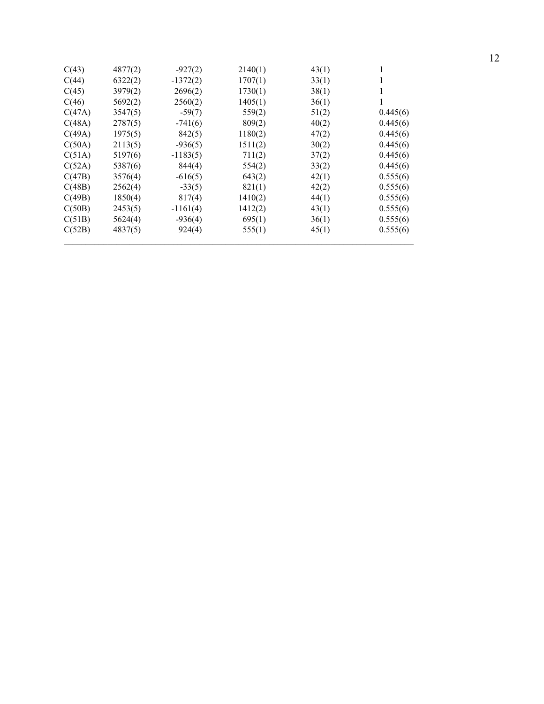| C(43)  | 4877(2) | $-927(2)$  | 2140(1) | 43(1) | 1        |
|--------|---------|------------|---------|-------|----------|
| C(44)  | 6322(2) | $-1372(2)$ | 1707(1) | 33(1) | 1        |
| C(45)  | 3979(2) | 2696(2)    | 1730(1) | 38(1) |          |
| C(46)  | 5692(2) | 2560(2)    | 1405(1) | 36(1) | 1        |
| C(47A) | 3547(5) | $-59(7)$   | 559(2)  | 51(2) | 0.445(6) |
| C(48A) | 2787(5) | $-741(6)$  | 809(2)  | 40(2) | 0.445(6) |
| C(49A) | 1975(5) | 842(5)     | 1180(2) | 47(2) | 0.445(6) |
| C(50A) | 2113(5) | $-936(5)$  | 1511(2) | 30(2) | 0.445(6) |
| C(51A) | 5197(6) | $-1183(5)$ | 711(2)  | 37(2) | 0.445(6) |
| C(52A) | 5387(6) | 844(4)     | 554(2)  | 33(2) | 0.445(6) |
| C(47B) | 3576(4) | $-616(5)$  | 643(2)  | 42(1) | 0.555(6) |
| C(48B) | 2562(4) | $-33(5)$   | 821(1)  | 42(2) | 0.555(6) |
| C(49B) | 1850(4) | 817(4)     | 1410(2) | 44(1) | 0.555(6) |
| C(50B) | 2453(5) | $-1161(4)$ | 1412(2) | 43(1) | 0.555(6) |
| C(51B) | 5624(4) | $-936(4)$  | 695(1)  | 36(1) | 0.555(6) |
| C(52B) | 4837(5) | 924(4)     | 555(1)  | 45(1) | 0.555(6) |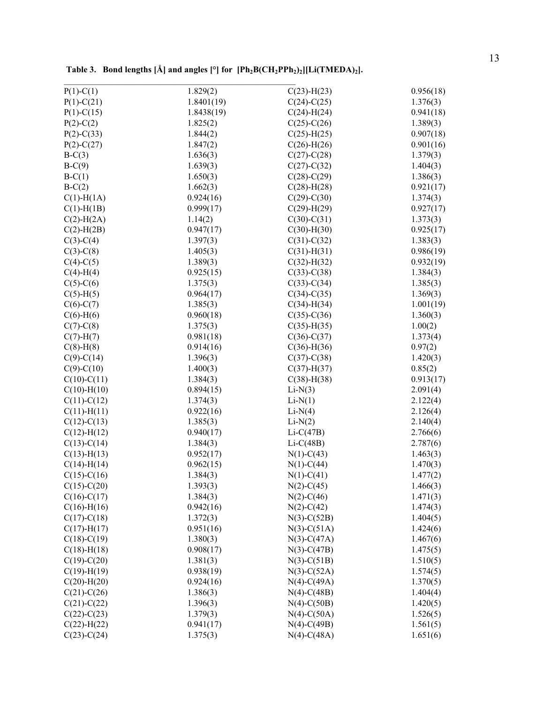|  | Table 3. Bond lengths [Å] and angles [°] for $[Ph_2B(CH_2PPh_2)_2][Li(TMEDA)_2]$ . |  |  |  |  |  |  |
|--|------------------------------------------------------------------------------------|--|--|--|--|--|--|
|--|------------------------------------------------------------------------------------|--|--|--|--|--|--|

| $P(1)-C(1)$       | 1.829(2)   | $C(23) - H(23)$   | 0.956(18) |
|-------------------|------------|-------------------|-----------|
| $P(1)-C(21)$      | 1.8401(19) | $C(24)-C(25)$     | 1.376(3)  |
| $P(1)-C(15)$      | 1.8438(19) | $C(24)$ -H $(24)$ | 0.941(18) |
| $P(2)-C(2)$       | 1.825(2)   | $C(25)-C(26)$     | 1.389(3)  |
| $P(2)-C(33)$      | 1.844(2)   | $C(25)$ -H $(25)$ | 0.907(18) |
| $P(2)-C(27)$      | 1.847(2)   | $C(26)$ -H $(26)$ | 0.901(16) |
| $B-C(3)$          | 1.636(3)   | $C(27) - C(28)$   | 1.379(3)  |
| $B-C(9)$          | 1.639(3)   | $C(27) - C(32)$   | 1.404(3)  |
| $B-C(1)$          | 1.650(3)   | $C(28)-C(29)$     | 1.386(3)  |
| $B-C(2)$          | 1.662(3)   | $C(28)$ -H $(28)$ | 0.921(17) |
| $C(1)-H(1A)$      | 0.924(16)  | $C(29) - C(30)$   | 1.374(3)  |
| $C(1)-H(1B)$      | 0.999(17)  | $C(29)$ -H $(29)$ | 0.927(17) |
| $C(2)-H(2A)$      | 1.14(2)    | $C(30)-C(31)$     | 1.373(3)  |
| $C(2)-H(2B)$      | 0.947(17)  | $C(30)$ -H $(30)$ | 0.925(17) |
| $C(3)-C(4)$       | 1.397(3)   | $C(31)-C(32)$     | 1.383(3)  |
| $C(3)-C(8)$       | 1.405(3)   | $C(31)$ -H $(31)$ | 0.986(19) |
| $C(4)-C(5)$       | 1.389(3)   | $C(32) - H(32)$   | 0.932(19) |
| $C(4)-H(4)$       | 0.925(15)  | $C(33)-C(38)$     | 1.384(3)  |
| $C(5)-C(6)$       | 1.375(3)   | $C(33)-C(34)$     | 1.385(3)  |
| $C(5)-H(5)$       | 0.964(17)  | $C(34)-C(35)$     | 1.369(3)  |
| $C(6)-C(7)$       | 1.385(3)   | $C(34)$ -H $(34)$ | 1.001(19) |
| $C(6)-H(6)$       | 0.960(18)  | $C(35)-C(36)$     | 1.360(3)  |
| $C(7)-C(8)$       | 1.375(3)   | $C(35)$ -H $(35)$ | 1.00(2)   |
| $C(7)-H(7)$       | 0.981(18)  | $C(36)-C(37)$     | 1.373(4)  |
| $C(8)-H(8)$       | 0.914(16)  | $C(36)$ -H $(36)$ | 0.97(2)   |
| $C(9) - C(14)$    | 1.396(3)   | $C(37) - C(38)$   | 1.420(3)  |
| $C(9) - C(10)$    | 1.400(3)   | $C(37)$ -H $(37)$ | 0.85(2)   |
| $C(10)-C(11)$     | 1.384(3)   | $C(38)$ -H $(38)$ | 0.913(17) |
| $C(10)$ -H $(10)$ | 0.894(15)  | $Li-N(3)$         | 2.091(4)  |
| $C(11)-C(12)$     | 1.374(3)   | $Li-N(1)$         | 2.122(4)  |
| $C(11) - H(11)$   | 0.922(16)  | $Li-N(4)$         | 2.126(4)  |
| $C(12)-C(13)$     | 1.385(3)   | $Li-N(2)$         | 2.140(4)  |
| $C(12)$ -H $(12)$ | 0.940(17)  | $Li-C(47B)$       | 2.766(6)  |
| $C(13)-C(14)$     | 1.384(3)   | $Li-C(48B)$       | 2.787(6)  |
| $C(13)$ -H $(13)$ | 0.952(17)  | $N(1)-C(43)$      | 1.463(3)  |
| $C(14)$ -H $(14)$ | 0.962(15)  | $N(1)-C(44)$      | 1.470(3)  |
| $C(15)-C(16)$     | 1.384(3)   | $N(1)-C(41)$      | 1.477(2)  |
| $C(15)-C(20)$     | 1.393(3)   | $N(2)$ -C(45)     | 1.466(3)  |
| $C(16)-C(17)$     | 1.384(3)   | $N(2)$ -C(46)     | 1.471(3)  |
| $C(16)-H(16)$     | 0.942(16)  | $N(2)$ -C(42)     | 1.474(3)  |
| $C(17)-C(18)$     | 1.372(3)   | $N(3)-C(52B)$     | 1.404(5)  |
| $C(17)$ -H $(17)$ | 0.951(16)  | $N(3)-C(51A)$     | 1.424(6)  |
| $C(18)-C(19)$     | 1.380(3)   | $N(3)-C(47A)$     | 1.467(6)  |
| $C(18)$ -H $(18)$ | 0.908(17)  | $N(3)-C(47B)$     | 1.475(5)  |
| $C(19)-C(20)$     | 1.381(3)   | $N(3)-C(51B)$     | 1.510(5)  |
| $C(19) - H(19)$   | 0.938(19)  | $N(3)-C(52A)$     | 1.574(5)  |
| $C(20)$ -H $(20)$ | 0.924(16)  | $N(4)-C(49A)$     | 1.370(5)  |
| $C(21)-C(26)$     | 1.386(3)   | $N(4)-C(48B)$     | 1.404(4)  |
| $C(21)-C(22)$     | 1.396(3)   | $N(4)-C(50B)$     | 1.420(5)  |
| $C(22)-C(23)$     | 1.379(3)   | $N(4)-C(50A)$     | 1.526(5)  |
| $C(22)$ -H $(22)$ | 0.941(17)  | $N(4)-C(49B)$     | 1.561(5)  |
| $C(23)-C(24)$     | 1.375(3)   | $N(4) - C(48A)$   | 1.651(6)  |
|                   |            |                   |           |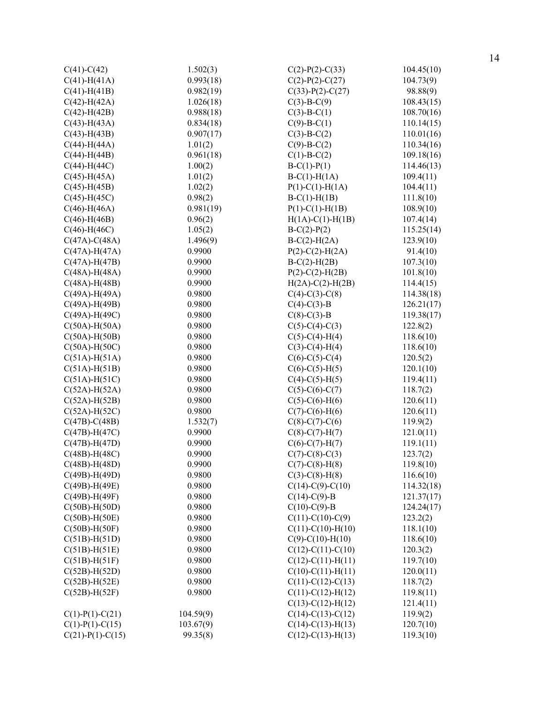| $C(41) - C(42)$        | 1.502(3)  | $C(2)-P(2)-C(33)$        | 104.45(10) |
|------------------------|-----------|--------------------------|------------|
| $C(41)$ -H(41A)        | 0.993(18) | $C(2)-P(2)-C(27)$        | 104.73(9)  |
| $C(41)$ -H $(41B)$     | 0.982(19) | $C(33)-P(2)-C(27)$       | 98.88(9)   |
| $C(42)$ -H $(42A)$     | 1.026(18) | $C(3)$ -B- $C(9)$        | 108.43(15) |
| $C(42)$ -H $(42B)$     | 0.988(18) | $C(3)$ -B-C(1)           | 108.70(16) |
| $C(43)$ -H $(43A)$     | 0.834(18) | $C(9)$ -B-C(1)           | 110.14(15) |
| $C(43)$ -H $(43B)$     | 0.907(17) | $C(3)-B-C(2)$            | 110.01(16) |
| $C(44)$ -H $(44A)$     | 1.01(2)   | $C(9)$ -B-C(2)           | 110.34(16) |
| $C(44)$ -H $(44B)$     | 0.961(18) | $C(1)$ -B-C(2)           | 109.18(16) |
| $C(44)$ -H $(44C)$     | 1.00(2)   | $B-C(1)-P(1)$            | 114.46(13) |
| $C(45)$ -H(45A)        | 1.01(2)   | $B-C(1)-H(1A)$           | 109.4(11)  |
| $C(45)$ -H $(45B)$     | 1.02(2)   | $P(1)-C(1)-H(1A)$        | 104.4(11)  |
| $C(45)$ -H $(45C)$     | 0.98(2)   | $B-C(1)-H(1B)$           | 111.8(10)  |
| $C(46)$ -H $(46A)$     | 0.981(19) | $P(1)-C(1)-H(1B)$        | 108.9(10)  |
| $C(46)$ -H $(46B)$     | 0.96(2)   | $H(1A)-C(1)-H(1B)$       | 107.4(14)  |
| $C(46)$ -H $(46C)$     | 1.05(2)   | $B-C(2)-P(2)$            | 115.25(14) |
| $C(47A) - C(48A)$      | 1.496(9)  | $B-C(2)-H(2A)$           | 123.9(10)  |
| $C(47A) - H(47A)$      | 0.9900    | $P(2)-C(2)-H(2A)$        | 91.4(10)   |
| $C(47A) - H(47B)$      | 0.9900    | $B-C(2)-H(2B)$           | 107.3(10)  |
| $C(48A) - H(48A)$      | 0.9900    | $P(2)-C(2)-H(2B)$        | 101.8(10)  |
| $C(48A) - H(48B)$      | 0.9900    | $H(2A)-C(2)-H(2B)$       | 114.4(15)  |
| $C(49A)$ -H $(49A)$    | 0.9800    | $C(4)-C(3)-C(8)$         | 114.38(18) |
| $C(49A)$ -H $(49B)$    | 0.9800    | $C(4)-C(3)-B$            | 126.21(17) |
| $C(49A)$ -H $(49C)$    | 0.9800    | $C(8)-C(3)-B$            | 119.38(17) |
| $C(50A)$ -H $(50A)$    | 0.9800    | $C(5)-C(4)-C(3)$         | 122.8(2)   |
| $C(50A)$ -H $(50B)$    | 0.9800    | $C(5)-C(4)-H(4)$         | 118.6(10)  |
| $C(50A)$ -H $(50C)$    | 0.9800    | $C(3)-C(4)-H(4)$         | 118.6(10)  |
| $C(51A)$ -H $(51A)$    | 0.9800    | $C(6)-C(5)-C(4)$         | 120.5(2)   |
| $C(51A) - H(51B)$      | 0.9800    | $C(6)-C(5)-H(5)$         | 120.1(10)  |
| $C(51A)$ -H $(51C)$    | 0.9800    | $C(4)-C(5)-H(5)$         | 119.4(11)  |
| $C(52A)$ -H $(52A)$    | 0.9800    | $C(5)-C(6)-C(7)$         | 118.7(2)   |
| $C(52A)$ -H $(52B)$    | 0.9800    | $C(5)-C(6)-H(6)$         | 120.6(11)  |
| $C(52A)$ -H $(52C)$    | 0.9800    | $C(7)$ - $C(6)$ - $H(6)$ | 120.6(11)  |
| $C(47B) - C(48B)$      | 1.532(7)  | $C(8)-C(7)-C(6)$         | 119.9(2)   |
| $C(47B)$ -H $(47C)$    | 0.9900    | $C(8)-C(7)-H(7)$         | 121.0(11)  |
| $C(47B)$ -H $(47D)$    | 0.9900    | $C(6)-C(7)-H(7)$         | 119.1(11)  |
| $C(48B)$ -H $(48C)$    | 0.9900    | $C(7)$ -C(8)-C(3)        | 123.7(2)   |
| $C(48B)$ -H $(48D)$    | 0.9900    | $C(7)$ - $C(8)$ - $H(8)$ | 119.8(10)  |
| $C(49B)$ -H $(49D)$    | 0.9800    | $C(3)-C(8)-H(8)$         | 116.6(10)  |
| $C(49B) - H(49E)$      | 0.9800    | $C(14)-C(9)-C(10)$       | 114.32(18) |
| $C(49B)$ -H $(49F)$    | 0.9800    | $C(14)-C(9)-B$           | 121.37(17) |
| $C(50B) - H(50D)$      | 0.9800    | $C(10)-C(9)-B$           | 124.24(17) |
| $C(50B) - H(50E)$      | 0.9800    | $C(11)-C(10)-C(9)$       | 123.2(2)   |
| $C(50B) - H(50F)$      | 0.9800    | $C(11)-C(10)-H(10)$      | 118.1(10)  |
| $C(51B) - H(51D)$      | 0.9800    | $C(9) - C(10) - H(10)$   | 118.6(10)  |
| $C(51B)$ -H $(51E)$    | 0.9800    | $C(12)-C(11)-C(10)$      | 120.3(2)   |
| $C(51B)$ -H $(51F)$    | 0.9800    | $C(12)-C(11)-H(11)$      | 119.7(10)  |
| $C(52B) - H(52D)$      | 0.9800    | $C(10)-C(11)-H(11)$      | 120.0(11)  |
| $C(52B)$ -H $(52E)$    | 0.9800    | $C(11)-C(12)-C(13)$      | 118.7(2)   |
| $C(52B)$ -H $(52F)$    | 0.9800    | $C(11)-C(12)-H(12)$      | 119.8(11)  |
|                        |           | $C(13)-C(12)-H(12)$      | 121.4(11)  |
| $C(1)$ -P(1)-C(21)     | 104.59(9) | $C(14)-C(13)-C(12)$      | 119.9(2)   |
| $C(1)$ -P(1)-C(15)     | 103.67(9) | $C(14)-C(13)-H(13)$      | 120.7(10)  |
| $C(21) - P(1) - C(15)$ | 99.35(8)  | $C(12)-C(13)-H(13)$      | 119.3(10)  |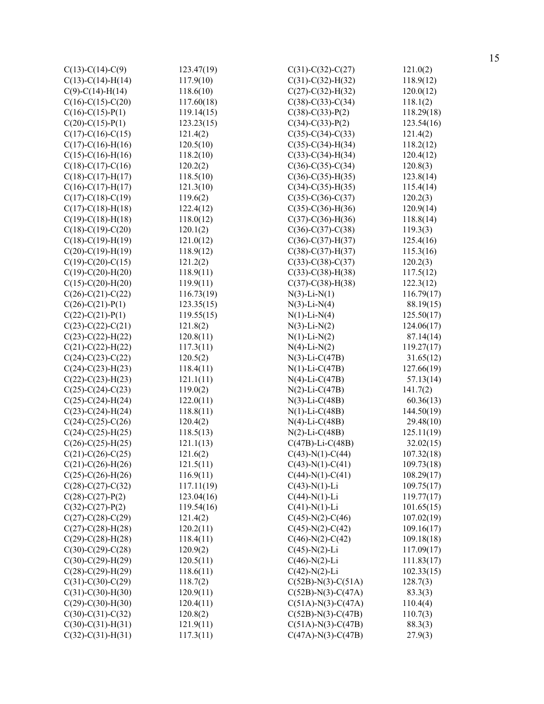| $C(13)-C(14)-C(9)$          | 123.47(19) | $C(31)-C(32)-C(27)$         | 121.0(2)   |
|-----------------------------|------------|-----------------------------|------------|
| $C(13)-C(14)-H(14)$         | 117.9(10)  | $C(31)-C(32)-H(32)$         | 118.9(12)  |
| $C(9)$ -C(14)-H(14)         | 118.6(10)  | $C(27)$ -C(32)-H(32)        | 120.0(12)  |
| $C(16)-C(15)-C(20)$         | 117.60(18) | $C(38)-C(33)-C(34)$         | 118.1(2)   |
| $C(16)-C(15)-P(1)$          | 119.14(15) | $C(38)-C(33)-P(2)$          | 118.29(18) |
| $C(20)-C(15)-P(1)$          | 123.23(15) | $C(34)-C(33)-P(2)$          | 123.54(16) |
| $C(17)-C(16)-C(15)$         | 121.4(2)   | $C(35)-C(34)-C(33)$         | 121.4(2)   |
| $C(17)-C(16)-H(16)$         | 120.5(10)  | $C(35)-C(34)-H(34)$         | 118.2(12)  |
| $C(15)-C(16)-H(16)$         | 118.2(10)  | $C(33)-C(34)-H(34)$         | 120.4(12)  |
| $C(18)-C(17)-C(16)$         | 120.2(2)   | $C(36)-C(35)-C(34)$         | 120.8(3)   |
| $C(18)-C(17)-H(17)$         | 118.5(10)  | $C(36)-C(35)-H(35)$         | 123.8(14)  |
| $C(16)-C(17)-H(17)$         | 121.3(10)  | $C(34)-C(35)-H(35)$         | 115.4(14)  |
| $C(17) - C(18) - C(19)$     | 119.6(2)   | $C(35)-C(36)-C(37)$         | 120.2(3)   |
| $C(17)-C(18)-H(18)$         | 122.4(12)  | $C(35)-C(36)-H(36)$         | 120.9(14)  |
| $C(19)-C(18)-H(18)$         | 118.0(12)  | $C(37)$ -C $(36)$ -H $(36)$ | 118.8(14)  |
| $C(18)-C(19)-C(20)$         | 120.1(2)   | $C(36)-C(37)-C(38)$         | 119.3(3)   |
| $C(18)-C(19)-H(19)$         | 121.0(12)  | $C(36)-C(37)-H(37)$         | 125.4(16)  |
| $C(20)-C(19)-H(19)$         | 118.9(12)  | $C(38)-C(37)-H(37)$         | 115.3(16)  |
| $C(19)-C(20)-C(15)$         | 121.2(2)   | $C(33)-C(38)-C(37)$         | 120.2(3)   |
| $C(19)-C(20)-H(20)$         | 118.9(11)  | $C(33)-C(38)-H(38)$         | 117.5(12)  |
| $C(15)-C(20)-H(20)$         | 119.9(11)  | $C(37)-C(38)-H(38)$         | 122.3(12)  |
| $C(26)$ -C $(21)$ -C $(22)$ | 116.73(19) | $N(3)$ -Li- $N(1)$          | 116.79(17) |
| $C(26)-C(21)-P(1)$          | 123.35(15) | $N(3)$ -Li- $N(4)$          | 88.19(15)  |
| $C(22)-C(21)-P(1)$          | 119.55(15) | $N(1)$ -Li- $N(4)$          | 125.50(17) |
| $C(23)-C(22)-C(21)$         | 121.8(2)   | $N(3)$ -Li- $N(2)$          | 124.06(17) |
| $C(23)-C(22)-H(22)$         | 120.8(11)  | $N(1)$ -Li- $N(2)$          | 87.14(14)  |
| $C(21)-C(22)-H(22)$         | 117.3(11)  | $N(4)$ -Li- $N(2)$          | 119.27(17) |
|                             |            |                             |            |
| $C(24)-C(23)-C(22)$         | 120.5(2)   | $N(3)$ -Li-C(47B)           | 31.65(12)  |
| $C(24)-C(23)-H(23)$         | 118.4(11)  | $N(1)$ -Li-C(47B)           | 127.66(19) |
| $C(22)-C(23)-H(23)$         | 121.1(11)  | $N(4)$ -Li-C $(47B)$        | 57.13(14)  |
| $C(25)$ -C $(24)$ -C $(23)$ | 119.0(2)   | $N(2)$ -Li-C(47B)           | 141.7(2)   |
| $C(25)-C(24)-H(24)$         | 122.0(11)  | $N(3)$ -Li-C(48B)           | 60.36(13)  |
| $C(23)-C(24)-H(24)$         | 118.8(11)  | $N(1)$ -Li-C(48B)           | 144.50(19) |
| $C(24)-C(25)-C(26)$         | 120.4(2)   | $N(4)$ -Li-C $(48B)$        | 29.48(10)  |
| $C(24)-C(25)-H(25)$         | 118.5(13)  | $N(2)$ -Li-C(48B)           | 125.11(19) |
| $C(26)-C(25)-H(25)$         | 121.1(13)  | $C(47B)$ -Li-C $(48B)$      | 32.02(15)  |
| $C(21)$ -C(26)-C(25)        | 121.6(2)   | $C(43)-N(1)-C(44)$          | 107.32(18) |
| $C(21)$ -C(26)-H(26)        | 121.5(11)  | $C(43)-N(1)-C(41)$          | 109.73(18) |
| $C(25)-C(26)-H(26)$         | 116.9(11)  | $C(44)$ -N(1)-C(41)         | 108.29(17) |
| $C(28)-C(27)-C(32)$         | 117.11(19) | $C(43)$ -N(1)-Li            | 109.75(17) |
| $C(28)-C(27)-P(2)$          | 123.04(16) | $C(44)-N(1)-Li$             | 119.77(17) |
| $C(32) - C(27) - P(2)$      | 119.54(16) | $C(41)$ -N(1)-Li            | 101.65(15) |
| $C(27)$ -C(28)-C(29)        | 121.4(2)   | $C(45)-N(2)-C(46)$          | 107.02(19) |
| $C(27)$ -C(28)-H(28)        | 120.2(11)  | $C(45)-N(2)-C(42)$          | 109.16(17) |
| $C(29)$ -C $(28)$ -H $(28)$ | 118.4(11)  | $C(46)$ -N(2)-C(42)         | 109.18(18) |
| $C(30)-C(29)-C(28)$         | 120.9(2)   | $C(45)-N(2)-Li$             | 117.09(17) |
| $C(30)-C(29)-H(29)$         | 120.5(11)  | $C(46)-N(2)$ -Li            | 111.83(17) |
| $C(28)-C(29)-H(29)$         | 118.6(11)  | $C(42)$ -N(2)-Li            | 102.33(15) |
| $C(31)-C(30)-C(29)$         | 118.7(2)   | $C(52B)$ -N(3)-C(51A)       | 128.7(3)   |
| $C(31)-C(30)-H(30)$         | 120.9(11)  | $C(52B)$ -N(3)-C(47A)       | 83.3(3)    |
| $C(29)$ -C(30)-H(30)        | 120.4(11)  | $C(51A)-N(3)-C(47A)$        | 110.4(4)   |
| $C(30)-C(31)-C(32)$         | 120.8(2)   | $C(52B)$ -N(3)-C(47B)       | 110.7(3)   |
| $C(30)-C(31)-H(31)$         | 121.9(11)  | $C(51A)-N(3)-C(47B)$        | 88.3(3)    |
| $C(32)-C(31)-H(31)$         | 117.3(11)  | $C(47A)$ -N(3)-C(47B)       | 27.9(3)    |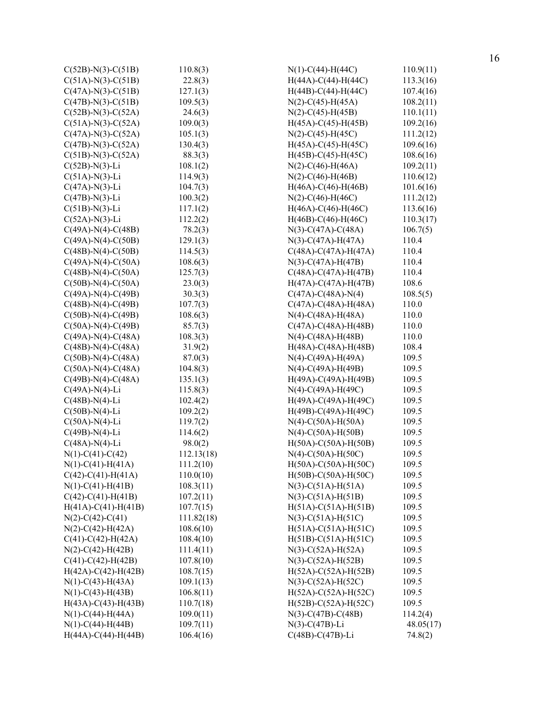| $C(52B) - N(3) - C(51B)$                         | 110.8(3)   | $N(1)$ -C(44)-H(44C)       | 110.9(11) |
|--------------------------------------------------|------------|----------------------------|-----------|
| $C(51A)-N(3)-C(51B)$                             | 22.8(3)    | $H(44A)-C(44)-H(44C)$      | 113.3(16) |
| $C(47A)-N(3)-C(51B)$                             | 127.1(3)   | $H(44B) - C(44) - H(44C)$  | 107.4(16) |
| $C(47B) - N(3) - C(51B)$                         | 109.5(3)   | $N(2)$ -C(45)-H(45A)       | 108.2(11) |
| $C(52B) - N(3) - C(52A)$                         | 24.6(3)    | $N(2)$ -C(45)-H(45B)       | 110.1(11) |
| $C(51A)-N(3)-C(52A)$                             | 109.0(3)   | $H(45A)-C(45)-H(45B)$      | 109.2(16) |
| $C(47A)-N(3)-C(52A)$                             | 105.1(3)   | $N(2)$ -C(45)-H(45C)       | 111.2(12) |
| $C(47B)-N(3)-C(52A)$                             | 130.4(3)   | $H(45A)-C(45)-H(45C)$      | 109.6(16) |
| $C(51B)-N(3)-C(52A)$                             | 88.3(3)    | $H(45B) - C(45) - H(45C)$  | 108.6(16) |
| $C(52B)$ -N(3)-Li                                | 108.1(2)   | $N(2)$ -C(46)-H(46A)       | 109.2(11) |
| $C(51A)-N(3)-Li$                                 | 114.9(3)   | $N(2)$ -C(46)-H(46B)       | 110.6(12) |
| $C(47A)-N(3)-Li$                                 | 104.7(3)   | $H(46A) - C(46) - H(46B)$  | 101.6(16) |
| $C(47B) - N(3) - Li$                             | 100.3(2)   | $N(2)$ -C(46)-H(46C)       | 111.2(12) |
| $C(51B)-N(3)$ -Li                                | 117.1(2)   | $H(46A) - C(46) - H(46C)$  | 113.6(16) |
| $C(52A)-N(3)-Li$                                 | 112.2(2)   | $H(46B) - C(46) - H(46C)$  | 110.3(17) |
| $C(49A) - N(4) - C(48B)$                         | 78.2(3)    | $N(3)-C(47A)-C(48A)$       | 106.7(5)  |
| $C(49A)-N(4)-C(50B)$                             | 129.1(3)   | $N(3)$ -C(47A)-H(47A)      | 110.4     |
| $C(48B) - N(4) - C(50B)$                         | 114.5(3)   | $C(48A) - C(47A) - H(47A)$ | 110.4     |
| $C(49A)-N(4)-C(50A)$                             | 108.6(3)   | $N(3)-C(47A)-H(47B)$       | 110.4     |
| $C(48B) - N(4) - C(50A)$                         | 125.7(3)   | $C(48A) - C(47A) - H(47B)$ | 110.4     |
| $C(50B) - N(4) - C(50A)$                         | 23.0(3)    | $H(47A) - C(47A) - H(47B)$ | 108.6     |
|                                                  |            |                            | 108.5(5)  |
| $C(49A)-N(4)-C(49B)$<br>$C(48B) - N(4) - C(49B)$ | 30.3(3)    | $C(47A) - C(48A) - N(4)$   |           |
|                                                  | 107.7(3)   | $C(47A) - C(48A) - H(48A)$ | 110.0     |
| $C(50B) - N(4) - C(49B)$                         | 108.6(3)   | $N(4)$ -C(48A)-H(48A)      | 110.0     |
| $C(50A)-N(4)-C(49B)$                             | 85.7(3)    | $C(47A) - C(48A) - H(48B)$ | 110.0     |
| $C(49A)-N(4)-C(48A)$                             | 108.3(3)   | $N(4)$ -C(48A)-H(48B)      | 110.0     |
| $C(48B) - N(4) - C(48A)$                         | 31.9(2)    | $H(48A) - C(48A) - H(48B)$ | 108.4     |
| $C(50B) - N(4) - C(48A)$                         | 87.0(3)    | $N(4)$ -C(49A)-H(49A)      | 109.5     |
| $C(50A) - N(4) - C(48A)$                         | 104.8(3)   | $N(4)$ -C(49A)-H(49B)      | 109.5     |
| $C(49B) - N(4) - C(48A)$                         | 135.1(3)   | H(49A)-C(49A)-H(49B)       | 109.5     |
| $C(49A)-N(4)-Li$                                 | 115.8(3)   | $N(4)$ -C(49A)-H(49C)      | 109.5     |
| $C(48B) - N(4) - Li$                             | 102.4(2)   | H(49A)-C(49A)-H(49C)       | 109.5     |
| $C(50B)-N(4)-Li$                                 | 109.2(2)   | H(49B)-C(49A)-H(49C)       | 109.5     |
| $C(50A)-N(4)-Li$                                 | 119.7(2)   | $N(4)$ -C(50A)-H(50A)      | 109.5     |
| $C(49B)-N(4)-Li$                                 | 114.6(2)   | $N(4)$ -C(50A)-H(50B)      | 109.5     |
| $C(48A)-N(4)-Li$                                 | 98.0(2)    | $H(50A) - C(50A) - H(50B)$ | 109.5     |
| $N(1)-C(41)-C(42)$                               | 112.13(18) | $N(4)-C(50A)-H(50C)$       | 109.5     |
| $N(1)$ -C(41)-H(41A)                             | 111.2(10)  | $H(50A) - C(50A) - H(50C)$ | 109.5     |
| $C(42)$ -C(41)-H(41A)                            | 110.0(10)  | $H(50B) - C(50A) - H(50C)$ | 109.5     |
| $N(1)$ -C(41)-H(41B)                             | 108.3(11)  | $N(3)-C(51A)-H(51A)$       | 109.5     |
| $C(42)$ - $C(41)$ - $H(41B)$                     | 107.2(11)  | $N(3)-C(51A)-H(51B)$       | 109.5     |
| $H(41A)-C(41)-H(41B)$                            | 107.7(15)  | $H(51A)-C(51A)-H(51B)$     | 109.5     |
| $N(2)$ -C(42)-C(41)                              | 111.82(18) | $N(3)-C(51A)-H(51C)$       | 109.5     |
| $N(2)$ -C(42)-H(42A)                             | 108.6(10)  | $H(51A)-C(51A)-H(51C)$     | 109.5     |
| $C(41) - C(42) - H(42A)$                         | 108.4(10)  | $H(51B)-C(51A)-H(51C)$     | 109.5     |
| $N(2)$ -C(42)-H(42B)                             | 111.4(11)  | $N(3)$ -C(52A)-H(52A)      | 109.5     |
| $C(41) - C(42) - H(42B)$                         | 107.8(10)  | $N(3)-C(52A)-H(52B)$       | 109.5     |
| $H(42A)-C(42)-H(42B)$                            | 108.7(15)  | $H(52A)-C(52A)-H(52B)$     | 109.5     |
| $N(1)$ -C(43)-H(43A)                             | 109.1(13)  | $N(3)-C(52A)-H(52C)$       | 109.5     |
| $N(1)-C(43)-H(43B)$                              | 106.8(11)  | $H(52A)-C(52A)-H(52C)$     | 109.5     |
| $H(43A)-C(43)-H(43B)$                            | 110.7(18)  | $H(52B) - C(52A) - H(52C)$ | 109.5     |
| $N(1)$ -C(44)-H(44A)                             | 109.0(11)  | $N(3)-C(47B)-C(48B)$       | 114.2(4)  |
| $N(1)$ -C(44)-H(44B)                             | 109.7(11)  | $N(3)-C(47B)-Li$           | 48.05(17) |
| $H(44A) - C(44) - H(44B)$                        | 106.4(16)  | $C(48B) - C(47B) - Li$     | 74.8(2)   |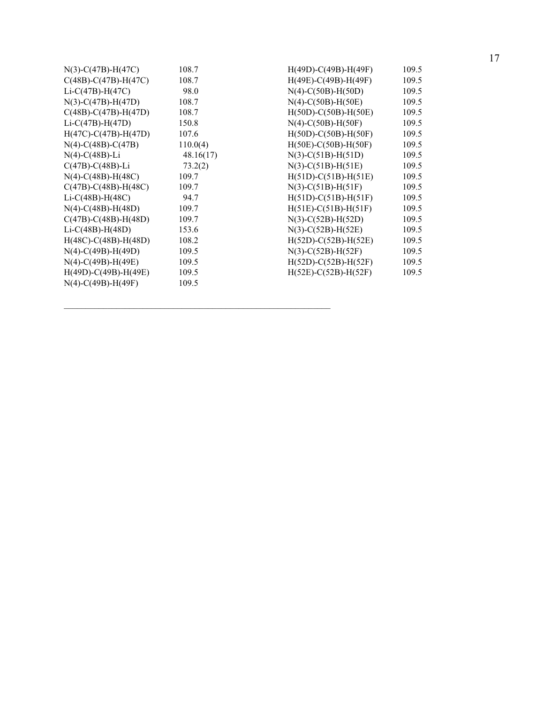| $N(3)-C(47B)-H(47C)$       | 108.7     | $H(49D) - C(49B) - H(49F)$ | 109.5 |
|----------------------------|-----------|----------------------------|-------|
| $C(48B) - C(47B) - H(47C)$ | 108.7     | H(49E)-C(49B)-H(49F)       | 109.5 |
| $Li-C(47B) - H(47C)$       | 98.0      | $N(4)$ -C(50B)-H(50D)      | 109.5 |
| $N(3) - C(47B) - H(47D)$   | 108.7     | $N(4)$ -C(50B)-H(50E)      | 109.5 |
| $C(48B) - C(47B) - H(47D)$ | 108.7     | $H(50D) - C(50B) - H(50E)$ | 109.5 |
| $Li-C(47B) - H(47D)$       | 150.8     | $N(4)$ -C(50B)-H(50F)      | 109.5 |
| $H(47C) - C(47B) - H(47D)$ | 107.6     | $H(50D) - C(50B) - H(50F)$ | 109.5 |
| $N(4)$ -C(48B)-C(47B)      | 110.0(4)  | $H(50E) - C(50B) - H(50F)$ | 109.5 |
| $N(4)$ -C(48B)-Li          | 48.16(17) | $N(3)-C(51B)-H(51D)$       | 109.5 |
| $C(47B) - C(48B) - Li$     | 73.2(2)   | $N(3)$ -C(51B)-H(51E)      | 109.5 |
| $N(4)$ -C(48B)-H(48C)      | 109.7     | $H(51D) - C(51B) - H(51E)$ | 109.5 |
| $C(47B) - C(48B) - H(48C)$ | 109.7     | $N(3) - C(51B) - H(51F)$   | 109.5 |
| $Li-C(48B) - H(48C)$       | 94.7      | $H(51D) - C(51B) - H(51F)$ | 109.5 |
| $N(4)$ -C(48B)-H(48D)      | 109.7     | $H(51E) - C(51B) - H(51F)$ | 109.5 |
| $C(47B) - C(48B) - H(48D)$ | 109.7     | $N(3)$ -C(52B)-H(52D)      | 109.5 |
| $Li-C(48B) - H(48D)$       | 153.6     | $N(3)-C(52B)-H(52E)$       | 109.5 |
| $H(48C) - C(48B) - H(48D)$ | 108.2     | $H(52D) - C(52B) - H(52E)$ | 109.5 |
| $N(4)$ -C(49B)-H(49D)      | 109.5     | $N(3)$ -C(52B)-H(52F)      | 109.5 |
| $N(4)$ -C(49B)-H(49E)      | 109.5     | $H(52D) - C(52B) - H(52F)$ | 109.5 |
| $H(49D) - C(49B) - H(49E)$ | 109.5     | $H(52E) - C(52B) - H(52F)$ | 109.5 |
| $N(4)$ -C(49B)-H(49F)      | 109.5     |                            |       |
|                            |           |                            |       |

 $\_$  ,  $\_$  ,  $\_$  ,  $\_$  ,  $\_$  ,  $\_$  ,  $\_$  ,  $\_$  ,  $\_$  ,  $\_$  ,  $\_$  ,  $\_$  ,  $\_$  ,  $\_$  ,  $\_$  ,  $\_$  ,  $\_$  ,  $\_$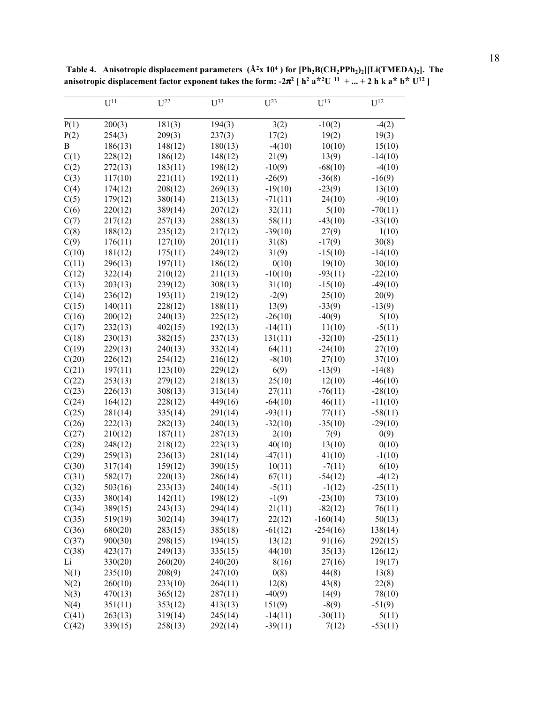|       | $\overline{U^{11}}$ | $U^{22}$ | $U^{33}$ | $U^{23}$  | $\overline{U^{13}}$ | $\overline{U^{12}}$ |
|-------|---------------------|----------|----------|-----------|---------------------|---------------------|
| P(1)  | 200(3)              | 181(3)   | 194(3)   | 3(2)      | $-10(2)$            | $-4(2)$             |
| P(2)  | 254(3)              | 209(3)   | 237(3)   | 17(2)     | 19(2)               | 19(3)               |
| B     | 186(13)             | 148(12)  | 180(13)  | $-4(10)$  | 10(10)              | 15(10)              |
| C(1)  | 228(12)             | 186(12)  | 148(12)  | 21(9)     | 13(9)               | $-14(10)$           |
| C(2)  | 272(13)             | 183(11)  | 198(12)  | $-10(9)$  | $-68(10)$           | $-4(10)$            |
| C(3)  | 117(10)             | 221(11)  | 192(11)  | $-26(9)$  | $-36(8)$            | $-16(9)$            |
| C(4)  | 174(12)             | 208(12)  | 269(13)  | $-19(10)$ | $-23(9)$            | 13(10)              |
| C(5)  | 179(12)             | 380(14)  | 213(13)  | $-71(11)$ | 24(10)              | $-9(10)$            |
| C(6)  | 220(12)             | 389(14)  | 207(12)  | 32(11)    | 5(10)               | $-70(11)$           |
| C(7)  | 217(12)             | 257(13)  | 288(13)  | 58(11)    | $-43(10)$           | $-33(10)$           |
| C(8)  | 188(12)             | 235(12)  | 217(12)  | $-39(10)$ | 27(9)               | 1(10)               |
| C(9)  | 176(11)             | 127(10)  | 201(11)  | 31(8)     | $-17(9)$            | 30(8)               |
| C(10) | 181(12)             | 175(11)  | 249(12)  | 31(9)     | $-15(10)$           | $-14(10)$           |
| C(11) | 296(13)             | 197(11)  | 186(12)  | 0(10)     | 19(10)              | 30(10)              |
| C(12) | 322(14)             | 210(12)  | 211(13)  | $-10(10)$ | $-93(11)$           | $-22(10)$           |
| C(13) | 203(13)             | 239(12)  | 308(13)  | 31(10)    | $-15(10)$           | $-49(10)$           |
| C(14) | 236(12)             | 193(11)  | 219(12)  | $-2(9)$   | 25(10)              | 20(9)               |
| C(15) | 140(11)             | 228(12)  | 188(11)  | 13(9)     | $-33(9)$            | $-13(9)$            |
| C(16) | 200(12)             | 240(13)  | 225(12)  | $-26(10)$ | $-40(9)$            | 5(10)               |
| C(17) | 232(13)             | 402(15)  | 192(13)  | $-14(11)$ | 11(10)              | $-5(11)$            |
| C(18) | 230(13)             | 382(15)  | 237(13)  | 131(11)   | $-32(10)$           | $-25(11)$           |
| C(19) | 229(13)             | 240(13)  | 332(14)  | 64(11)    | $-24(10)$           | 27(10)              |
| C(20) | 226(12)             | 254(12)  | 216(12)  | $-8(10)$  | 27(10)              | 37(10)              |
| C(21) | 197(11)             | 123(10)  | 229(12)  | 6(9)      | $-13(9)$            | $-14(8)$            |
| C(22) | 253(13)             | 279(12)  | 218(13)  | 25(10)    | 12(10)              | $-46(10)$           |
| C(23) | 226(13)             | 308(13)  | 313(14)  | 27(11)    | $-76(11)$           | $-28(10)$           |
| C(24) | 164(12)             | 228(12)  | 449(16)  | $-64(10)$ | 46(11)              | $-11(10)$           |
| C(25) | 281(14)             | 335(14)  | 291(14)  | $-93(11)$ | 77(11)              | $-58(11)$           |
| C(26) | 222(13)             | 282(13)  | 240(13)  | $-32(10)$ | $-35(10)$           | $-29(10)$           |
| C(27) | 210(12)             | 187(11)  | 287(13)  | 2(10)     | 7(9)                | 0(9)                |
| C(28) | 248(12)             | 218(12)  | 223(13)  | 40(10)    | 13(10)              | 0(10)               |
| C(29) | 259(13)             | 236(13)  | 281(14)  | $-47(11)$ | 41(10)              | $-1(10)$            |
| C(30) | 317(14)             | 159(12)  | 390(15)  | 10(11)    | $-7(11)$            | 6(10)               |
| C(31) | 582(17)             | 220(13)  | 286(14)  | 67(11)    | $-54(12)$           | $-4(12)$            |
| C(32) | 503(16)             | 233(13)  | 240(14)  | $-5(11)$  | $-1(12)$            | $-25(11)$           |
| C(33) | 380(14)             | 142(11)  | 198(12)  | $-1(9)$   | $-23(10)$           | 73(10)              |
| C(34) | 389(15)             | 243(13)  | 294(14)  | 21(11)    | $-82(12)$           | 76(11)              |
| C(35) | 519(19)             | 302(14)  | 394(17)  | 22(12)    | $-160(14)$          | 50(13)              |
| C(36) | 680(20)             | 283(15)  | 385(18)  | $-61(12)$ | $-254(16)$          | 138(14)             |
| C(37) | 900(30)             | 298(15)  | 194(15)  | 13(12)    | 91(16)              | 292(15)             |
| C(38) | 423(17)             | 249(13)  | 335(15)  | 44(10)    | 35(13)              | 126(12)             |
| Li    | 330(20)             | 260(20)  | 240(20)  | 8(16)     | 27(16)              | 19(17)              |
| N(1)  | 235(10)             | 208(9)   | 247(10)  | 0(8)      | 44(8)               | 13(8)               |
| N(2)  | 260(10)             | 233(10)  | 264(11)  | 12(8)     | 43(8)               | 22(8)               |
| N(3)  | 470(13)             | 365(12)  | 287(11)  | $-40(9)$  | 14(9)               | 78(10)              |
| N(4)  | 351(11)             | 353(12)  | 413(13)  | 151(9)    | $-8(9)$             | $-51(9)$            |
| C(41) | 263(13)             | 319(14)  | 245(14)  | $-14(11)$ | $-30(11)$           | 5(11)               |
| C(42) | 339(15)             | 258(13)  | 292(14)  | $-39(11)$ | 7(12)               | $-53(11)$           |

**Table 4. Anisotropic displacement parameters (Å2x 104 ) for [Ph2B(CH2PPh2)2][Li(TMEDA)2]. The anisotropic displacement factor exponent takes the form: -2**π**<sup>2</sup> [ h2 a\*2U 11 + ... + 2 h k a\* b\* U12 ]**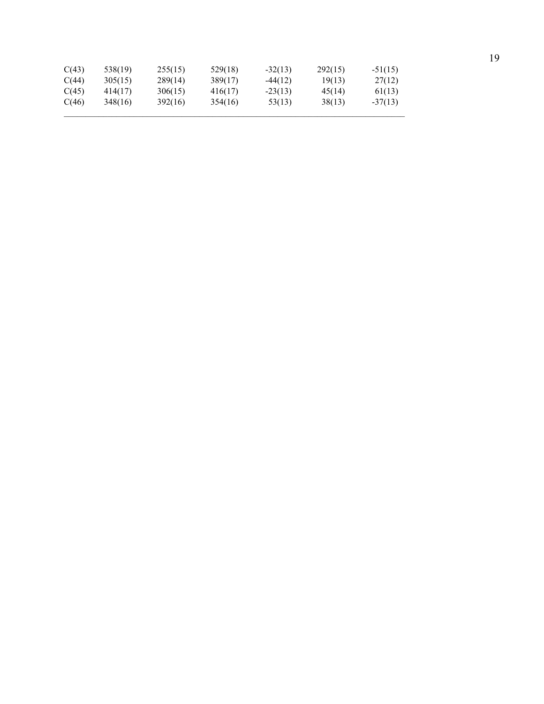| C(43) | 538(19) | 255(15) | 529(18) | $-32(13)$ | 292(15) | $-51(15)$ |
|-------|---------|---------|---------|-----------|---------|-----------|
| C(44) | 305(15) | 289(14) | 389(17) | $-44(12)$ | 19(13)  | 27(12)    |
| C(45) | 414(17) | 306(15) | 416(17) | $-23(13)$ | 45(14)  | 61(13)    |
| C(46) | 348(16) | 392(16) | 354(16) | 53(13)    | 38(13)  | $-37(13)$ |
|       |         |         |         |           |         |           |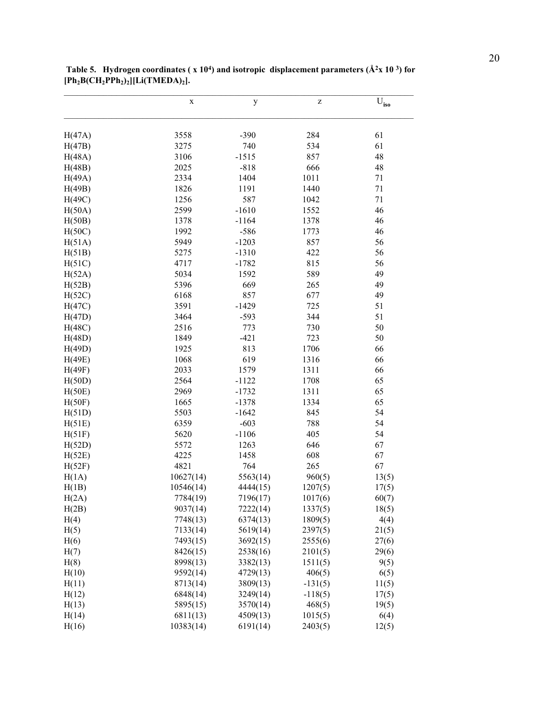|        | $\mathbf X$          | y                    | Z                 | $\rm \overline{U}_{iso}$ |
|--------|----------------------|----------------------|-------------------|--------------------------|
| H(47A) | 3558                 | $-390$               | 284               | 61                       |
| H(47B) | 3275                 | 740                  | 534               | 61                       |
| H(48A) | 3106                 | $-1515$              | 857               | 48                       |
| H(48B) | 2025                 | $-818$               | 666               | 48                       |
| H(49A) | 2334                 | 1404                 | 1011              | 71                       |
| H(49B) | 1826                 | 1191                 | 1440              | 71                       |
| H(49C) | 1256                 | 587                  | 1042              | 71                       |
| H(50A) | 2599                 | $-1610$              | 1552              | 46                       |
| H(50B) | 1378                 | $-1164$              | 1378              | 46                       |
| H(50C) | 1992                 | $-586$               | 1773              | 46                       |
| H(51A) | 5949                 | $-1203$              | 857               | 56                       |
| H(51B) | 5275                 | $-1310$              | 422               | 56                       |
| H(51C) | 4717                 | $-1782$              | 815               | 56                       |
| H(52A) | 5034                 | 1592                 | 589               | 49                       |
| H(52B) | 5396                 | 669                  | 265               | 49                       |
| H(52C) | 6168                 | 857                  | 677               | 49                       |
| H(47C) | 3591                 | $-1429$              | 725               | 51                       |
| H(47D) | 3464                 | $-593$               | 344               | 51                       |
| H(48C) | 2516                 | 773                  | 730               | 50                       |
| H(48D) | 1849                 | $-421$               | 723               | 50                       |
| H(49D) | 1925                 | 813                  | 1706              | 66                       |
| H(49E) | 1068                 | 619                  | 1316              | 66                       |
| H(49F) | 2033                 | 1579                 | 1311              | 66                       |
| H(50D) | 2564                 | $-1122$              | 1708              | 65                       |
| H(50E) | 2969                 | $-1732$              | 1311              | 65                       |
| H(50F) | 1665                 | $-1378$              | 1334              | 65                       |
| H(51D) | 5503                 | $-1642$              | 845               | 54                       |
| H(51E) | 6359                 | $-603$               | 788               | 54                       |
| H(51F) | 5620                 | $-1106$              | 405               | 54                       |
| H(52D) | 5572                 | 1263                 | 646               | 67                       |
| H(52E) | 4225                 | 1458                 | 608               | 67                       |
| H(52F) | 4821                 | 764                  | 265               | 67                       |
| H(1A)  | 10627(14)            | 5563(14)             | 960(5)            | 13(5)                    |
| H(1B)  | 10546(14)            | 4444(15)             | 1207(5)           | 17(5)                    |
| H(2A)  | 7784(19)             | 7196(17)             | 1017(6)           | 60(7)                    |
| H(2B)  | 9037(14)             | 7222(14)             | 1337(5)           | 18(5)                    |
| H(4)   | 7748(13)             | 6374(13)             | 1809(5)           | 4(4)                     |
| H(5)   | 7133(14)             | 5619(14)             | 2397(5)           | 21(5)                    |
| H(6)   | 7493(15)             | 3692(15)             | 2555(6)           | 27(6)                    |
| H(7)   | 8426(15)             | 2538(16)             | 2101(5)           | 29(6)                    |
| H(8)   | 8998(13)             | 3382(13)             | 1511(5)           | 9(5)                     |
| H(10)  | 9592(14)             | 4729(13)             | 406(5)            | 6(5)                     |
| H(11)  | 8713(14)             | 3809(13)             | $-131(5)$         | 11(5)                    |
| H(12)  | 6848(14)             | 3249(14)             | $-118(5)$         | 17(5)                    |
| H(13)  |                      |                      |                   |                          |
|        |                      |                      |                   |                          |
| H(14)  | 5895(15)<br>6811(13) | 3570(14)<br>4509(13) | 468(5)<br>1015(5) | 19(5)<br>6(4)            |

**Table 5. Hydrogen coordinates ( x 104) and isotropic displacement parameters (Å2x 10 3) for [Ph2B(CH2PPh2)2][Li(TMEDA)2].**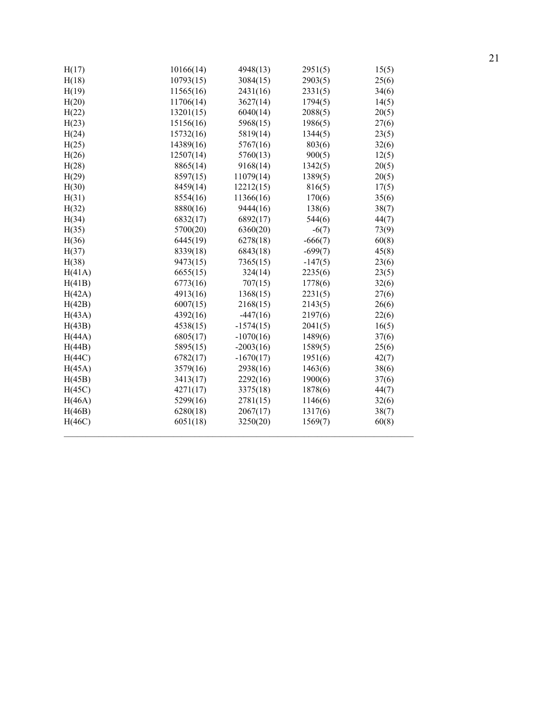| H(18)<br>10793(15)<br>3084(15)<br>2903(5)<br>25(6)<br>H(19)<br>11565(16)<br>2431(16)<br>2331(5)<br>34(6)<br>H(20)<br>11706(14)<br>3627(14)<br>1794(5)<br>14(5)<br>13201(15)<br>6040(14)<br>20(5)<br>H(22)<br>2088(5)<br>H(23)<br>15156(16)<br>5968(15)<br>1986(5)<br>27(6)<br>H(24)<br>15732(16)<br>5819(14)<br>1344(5)<br>23(5)<br>H(25)<br>14389(16)<br>5767(16)<br>803(6)<br>32(6)<br>12507(14)<br>900(5)<br>H(26)<br>5760(13)<br>12(5)<br>H(28)<br>8865(14)<br>9168(14)<br>1342(5)<br>20(5)<br>H(29)<br>8597(15)<br>11079(14)<br>1389(5)<br>20(5)<br>H(30)<br>8459(14)<br>12212(15)<br>816(5)<br>17(5)<br>8554(16)<br>11366(16)<br>170(6)<br>35(6)<br>H(31)<br>8880(16)<br>138(6)<br>H(32)<br>9444(16)<br>38(7)<br>H(34)<br>6832(17)<br>6892(17)<br>544(6)<br>44(7)<br>5700(20)<br>6360(20)<br>73(9)<br>H(35)<br>$-6(7)$<br>H(36)<br>6445(19)<br>6278(18)<br>$-666(7)$<br>60(8)<br>H(37)<br>8339(18)<br>6843(18)<br>$-699(7)$<br>45(8)<br>H(38)<br>9473(15)<br>7365(15)<br>$-147(5)$<br>23(6)<br>H(41A)<br>6655(15)<br>324(14)<br>2235(6)<br>23(5)<br>H(41B)<br>6773(16)<br>707(15)<br>1778(6)<br>32(6)<br>4913(16)<br>1368(15)<br>H(42A)<br>2231(5)<br>27(6)<br>H(42B)<br>6007(15)<br>2168(15)<br>2143(5)<br>26(6)<br>H(43A)<br>4392(16)<br>$-447(16)$<br>2197(6)<br>22(6)<br>H(43B)<br>4538(15)<br>$-1574(15)$<br>2041(5)<br>16(5)<br>H(44A)<br>6805(17)<br>$-1070(16)$<br>1489(6)<br>37(6)<br>H(44B)<br>5895(15)<br>$-2003(16)$<br>1589(5)<br>25(6)<br>H(44C)<br>6782(17)<br>$-1670(17)$<br>1951(6)<br>42(7)<br>H(45A)<br>3579(16)<br>2938(16)<br>38(6)<br>1463(6)<br>H(45B)<br>3413(17)<br>2292(16)<br>1900(6)<br>37(6)<br>H(45C)<br>4271(17)<br>3375(18)<br>1878(6)<br>44(7)<br>H(46A)<br>5299(16)<br>2781(15)<br>1146(6)<br>32(6)<br>6280(18)<br>2067(17)<br>H(46B)<br>1317(6)<br>38(7)<br>H(46C)<br>6051(18)<br>3250(20)<br>1569(7)<br>60(8) | H(17) | 10166(14) | 4948(13) | 2951(5) | 15(5) |
|---------------------------------------------------------------------------------------------------------------------------------------------------------------------------------------------------------------------------------------------------------------------------------------------------------------------------------------------------------------------------------------------------------------------------------------------------------------------------------------------------------------------------------------------------------------------------------------------------------------------------------------------------------------------------------------------------------------------------------------------------------------------------------------------------------------------------------------------------------------------------------------------------------------------------------------------------------------------------------------------------------------------------------------------------------------------------------------------------------------------------------------------------------------------------------------------------------------------------------------------------------------------------------------------------------------------------------------------------------------------------------------------------------------------------------------------------------------------------------------------------------------------------------------------------------------------------------------------------------------------------------------------------------------------------------------------------------------------------------------------------------------------------------------------------------------------------------------------------------|-------|-----------|----------|---------|-------|
|                                                                                                                                                                                                                                                                                                                                                                                                                                                                                                                                                                                                                                                                                                                                                                                                                                                                                                                                                                                                                                                                                                                                                                                                                                                                                                                                                                                                                                                                                                                                                                                                                                                                                                                                                                                                                                                         |       |           |          |         |       |
|                                                                                                                                                                                                                                                                                                                                                                                                                                                                                                                                                                                                                                                                                                                                                                                                                                                                                                                                                                                                                                                                                                                                                                                                                                                                                                                                                                                                                                                                                                                                                                                                                                                                                                                                                                                                                                                         |       |           |          |         |       |
|                                                                                                                                                                                                                                                                                                                                                                                                                                                                                                                                                                                                                                                                                                                                                                                                                                                                                                                                                                                                                                                                                                                                                                                                                                                                                                                                                                                                                                                                                                                                                                                                                                                                                                                                                                                                                                                         |       |           |          |         |       |
|                                                                                                                                                                                                                                                                                                                                                                                                                                                                                                                                                                                                                                                                                                                                                                                                                                                                                                                                                                                                                                                                                                                                                                                                                                                                                                                                                                                                                                                                                                                                                                                                                                                                                                                                                                                                                                                         |       |           |          |         |       |
|                                                                                                                                                                                                                                                                                                                                                                                                                                                                                                                                                                                                                                                                                                                                                                                                                                                                                                                                                                                                                                                                                                                                                                                                                                                                                                                                                                                                                                                                                                                                                                                                                                                                                                                                                                                                                                                         |       |           |          |         |       |
|                                                                                                                                                                                                                                                                                                                                                                                                                                                                                                                                                                                                                                                                                                                                                                                                                                                                                                                                                                                                                                                                                                                                                                                                                                                                                                                                                                                                                                                                                                                                                                                                                                                                                                                                                                                                                                                         |       |           |          |         |       |
|                                                                                                                                                                                                                                                                                                                                                                                                                                                                                                                                                                                                                                                                                                                                                                                                                                                                                                                                                                                                                                                                                                                                                                                                                                                                                                                                                                                                                                                                                                                                                                                                                                                                                                                                                                                                                                                         |       |           |          |         |       |
|                                                                                                                                                                                                                                                                                                                                                                                                                                                                                                                                                                                                                                                                                                                                                                                                                                                                                                                                                                                                                                                                                                                                                                                                                                                                                                                                                                                                                                                                                                                                                                                                                                                                                                                                                                                                                                                         |       |           |          |         |       |
|                                                                                                                                                                                                                                                                                                                                                                                                                                                                                                                                                                                                                                                                                                                                                                                                                                                                                                                                                                                                                                                                                                                                                                                                                                                                                                                                                                                                                                                                                                                                                                                                                                                                                                                                                                                                                                                         |       |           |          |         |       |
|                                                                                                                                                                                                                                                                                                                                                                                                                                                                                                                                                                                                                                                                                                                                                                                                                                                                                                                                                                                                                                                                                                                                                                                                                                                                                                                                                                                                                                                                                                                                                                                                                                                                                                                                                                                                                                                         |       |           |          |         |       |
|                                                                                                                                                                                                                                                                                                                                                                                                                                                                                                                                                                                                                                                                                                                                                                                                                                                                                                                                                                                                                                                                                                                                                                                                                                                                                                                                                                                                                                                                                                                                                                                                                                                                                                                                                                                                                                                         |       |           |          |         |       |
|                                                                                                                                                                                                                                                                                                                                                                                                                                                                                                                                                                                                                                                                                                                                                                                                                                                                                                                                                                                                                                                                                                                                                                                                                                                                                                                                                                                                                                                                                                                                                                                                                                                                                                                                                                                                                                                         |       |           |          |         |       |
|                                                                                                                                                                                                                                                                                                                                                                                                                                                                                                                                                                                                                                                                                                                                                                                                                                                                                                                                                                                                                                                                                                                                                                                                                                                                                                                                                                                                                                                                                                                                                                                                                                                                                                                                                                                                                                                         |       |           |          |         |       |
|                                                                                                                                                                                                                                                                                                                                                                                                                                                                                                                                                                                                                                                                                                                                                                                                                                                                                                                                                                                                                                                                                                                                                                                                                                                                                                                                                                                                                                                                                                                                                                                                                                                                                                                                                                                                                                                         |       |           |          |         |       |
|                                                                                                                                                                                                                                                                                                                                                                                                                                                                                                                                                                                                                                                                                                                                                                                                                                                                                                                                                                                                                                                                                                                                                                                                                                                                                                                                                                                                                                                                                                                                                                                                                                                                                                                                                                                                                                                         |       |           |          |         |       |
|                                                                                                                                                                                                                                                                                                                                                                                                                                                                                                                                                                                                                                                                                                                                                                                                                                                                                                                                                                                                                                                                                                                                                                                                                                                                                                                                                                                                                                                                                                                                                                                                                                                                                                                                                                                                                                                         |       |           |          |         |       |
|                                                                                                                                                                                                                                                                                                                                                                                                                                                                                                                                                                                                                                                                                                                                                                                                                                                                                                                                                                                                                                                                                                                                                                                                                                                                                                                                                                                                                                                                                                                                                                                                                                                                                                                                                                                                                                                         |       |           |          |         |       |
|                                                                                                                                                                                                                                                                                                                                                                                                                                                                                                                                                                                                                                                                                                                                                                                                                                                                                                                                                                                                                                                                                                                                                                                                                                                                                                                                                                                                                                                                                                                                                                                                                                                                                                                                                                                                                                                         |       |           |          |         |       |
|                                                                                                                                                                                                                                                                                                                                                                                                                                                                                                                                                                                                                                                                                                                                                                                                                                                                                                                                                                                                                                                                                                                                                                                                                                                                                                                                                                                                                                                                                                                                                                                                                                                                                                                                                                                                                                                         |       |           |          |         |       |
|                                                                                                                                                                                                                                                                                                                                                                                                                                                                                                                                                                                                                                                                                                                                                                                                                                                                                                                                                                                                                                                                                                                                                                                                                                                                                                                                                                                                                                                                                                                                                                                                                                                                                                                                                                                                                                                         |       |           |          |         |       |
|                                                                                                                                                                                                                                                                                                                                                                                                                                                                                                                                                                                                                                                                                                                                                                                                                                                                                                                                                                                                                                                                                                                                                                                                                                                                                                                                                                                                                                                                                                                                                                                                                                                                                                                                                                                                                                                         |       |           |          |         |       |
|                                                                                                                                                                                                                                                                                                                                                                                                                                                                                                                                                                                                                                                                                                                                                                                                                                                                                                                                                                                                                                                                                                                                                                                                                                                                                                                                                                                                                                                                                                                                                                                                                                                                                                                                                                                                                                                         |       |           |          |         |       |
|                                                                                                                                                                                                                                                                                                                                                                                                                                                                                                                                                                                                                                                                                                                                                                                                                                                                                                                                                                                                                                                                                                                                                                                                                                                                                                                                                                                                                                                                                                                                                                                                                                                                                                                                                                                                                                                         |       |           |          |         |       |
|                                                                                                                                                                                                                                                                                                                                                                                                                                                                                                                                                                                                                                                                                                                                                                                                                                                                                                                                                                                                                                                                                                                                                                                                                                                                                                                                                                                                                                                                                                                                                                                                                                                                                                                                                                                                                                                         |       |           |          |         |       |
|                                                                                                                                                                                                                                                                                                                                                                                                                                                                                                                                                                                                                                                                                                                                                                                                                                                                                                                                                                                                                                                                                                                                                                                                                                                                                                                                                                                                                                                                                                                                                                                                                                                                                                                                                                                                                                                         |       |           |          |         |       |
|                                                                                                                                                                                                                                                                                                                                                                                                                                                                                                                                                                                                                                                                                                                                                                                                                                                                                                                                                                                                                                                                                                                                                                                                                                                                                                                                                                                                                                                                                                                                                                                                                                                                                                                                                                                                                                                         |       |           |          |         |       |
|                                                                                                                                                                                                                                                                                                                                                                                                                                                                                                                                                                                                                                                                                                                                                                                                                                                                                                                                                                                                                                                                                                                                                                                                                                                                                                                                                                                                                                                                                                                                                                                                                                                                                                                                                                                                                                                         |       |           |          |         |       |
|                                                                                                                                                                                                                                                                                                                                                                                                                                                                                                                                                                                                                                                                                                                                                                                                                                                                                                                                                                                                                                                                                                                                                                                                                                                                                                                                                                                                                                                                                                                                                                                                                                                                                                                                                                                                                                                         |       |           |          |         |       |
|                                                                                                                                                                                                                                                                                                                                                                                                                                                                                                                                                                                                                                                                                                                                                                                                                                                                                                                                                                                                                                                                                                                                                                                                                                                                                                                                                                                                                                                                                                                                                                                                                                                                                                                                                                                                                                                         |       |           |          |         |       |
|                                                                                                                                                                                                                                                                                                                                                                                                                                                                                                                                                                                                                                                                                                                                                                                                                                                                                                                                                                                                                                                                                                                                                                                                                                                                                                                                                                                                                                                                                                                                                                                                                                                                                                                                                                                                                                                         |       |           |          |         |       |
|                                                                                                                                                                                                                                                                                                                                                                                                                                                                                                                                                                                                                                                                                                                                                                                                                                                                                                                                                                                                                                                                                                                                                                                                                                                                                                                                                                                                                                                                                                                                                                                                                                                                                                                                                                                                                                                         |       |           |          |         |       |
|                                                                                                                                                                                                                                                                                                                                                                                                                                                                                                                                                                                                                                                                                                                                                                                                                                                                                                                                                                                                                                                                                                                                                                                                                                                                                                                                                                                                                                                                                                                                                                                                                                                                                                                                                                                                                                                         |       |           |          |         |       |
|                                                                                                                                                                                                                                                                                                                                                                                                                                                                                                                                                                                                                                                                                                                                                                                                                                                                                                                                                                                                                                                                                                                                                                                                                                                                                                                                                                                                                                                                                                                                                                                                                                                                                                                                                                                                                                                         |       |           |          |         |       |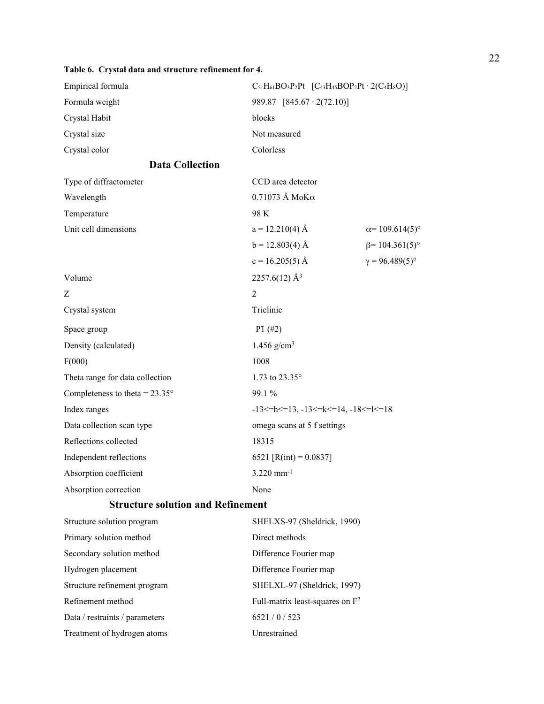### **Table 6. Crystal data and structure refinement for 4.**

| Empirical formula                        | $C_{51}H_{61}BO_3P_2Pt$ $[C_{43}H_{45}BOP_2Pt \cdot 2(C_4H_8O)]$ |                                    |
|------------------------------------------|------------------------------------------------------------------|------------------------------------|
| Formula weight                           | 989.87 [845.67 · 2(72.10)]                                       |                                    |
| Crystal Habit                            | blocks                                                           |                                    |
| Crystal size                             | Not measured                                                     |                                    |
| Crystal color                            | Colorless                                                        |                                    |
| <b>Data Collection</b>                   |                                                                  |                                    |
| Type of diffractometer                   | CCD area detector                                                |                                    |
| Wavelength                               | $0.71073$ Å MoK $\alpha$                                         |                                    |
| Temperature                              | 98 K                                                             |                                    |
| Unit cell dimensions                     | $a = 12.210(4)$ Å                                                | $\alpha$ = 109.614(5) <sup>o</sup> |
|                                          | $b = 12.803(4)$ Å                                                | $\beta$ = 104.361(5)°              |
|                                          | $c = 16.205(5)$ Å                                                | $\gamma = 96.489(5)$ °             |
| Volume                                   | 2257.6(12) $\AA$ <sup>3</sup>                                    |                                    |
| Ζ                                        | 2                                                                |                                    |
| Crystal system                           | Triclinic                                                        |                                    |
| Space group                              | P1 $(#2)$                                                        |                                    |
| Density (calculated)                     | 1.456 $g/cm^3$                                                   |                                    |
| F(000)                                   | 1008                                                             |                                    |
| Theta range for data collection          | 1.73 to 23.35°                                                   |                                    |
| Completeness to theta = $23.35^{\circ}$  | 99.1 %                                                           |                                    |
| Index ranges                             | $-13 \le h \le 13$ , $-13 \le k \le 14$ , $-18 \le k \le 18$     |                                    |
| Data collection scan type                | omega scans at 5 f settings                                      |                                    |
| Reflections collected                    | 18315                                                            |                                    |
| Independent reflections                  | 6521 [R(int) = $0.0837$ ]                                        |                                    |
| Absorption coefficient                   | $3.220$ mm <sup>-1</sup>                                         |                                    |
| Absorption correction                    | None                                                             |                                    |
| <b>Structure solution and Refinement</b> |                                                                  |                                    |
| Structure solution program               | SHELXS-97 (Sheldrick, 1990)                                      |                                    |
| Primary solution method                  | Direct methods                                                   |                                    |
| Secondary solution method                | Difference Fourier map                                           |                                    |
| Hydrogen placement                       | Difference Fourier map                                           |                                    |
| Structure refinement program             | SHELXL-97 (Sheldrick, 1997)                                      |                                    |
| Refinement method                        | Full-matrix least-squares on $F^2$                               |                                    |
| Data / restraints / parameters           | 6521/0/523                                                       |                                    |
| Treatment of hydrogen atoms              | Unrestrained                                                     |                                    |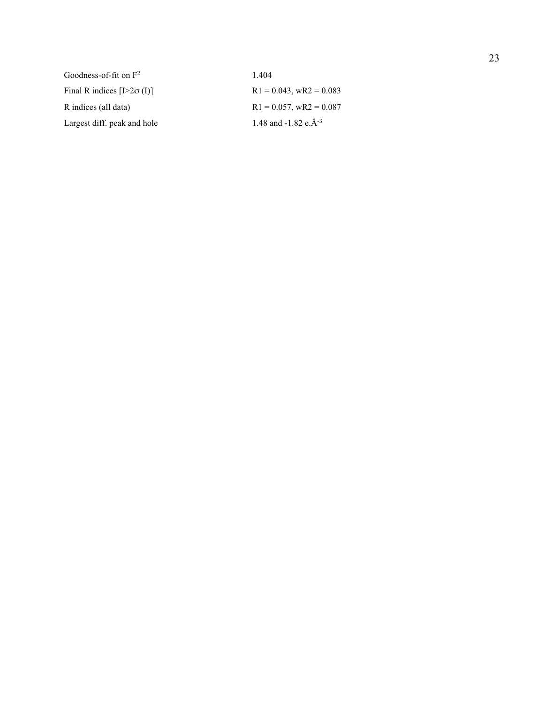| Goodness-of-fit on $F^2$         | 1.404                          |
|----------------------------------|--------------------------------|
| Final R indices $[1>2\sigma(1)]$ | $R1 = 0.043$ , wR2 = 0.083     |
| R indices (all data)             | $R1 = 0.057$ , wR2 = 0.087     |
| Largest diff, peak and hole      | 1.48 and $-1.82$ e. $\AA^{-3}$ |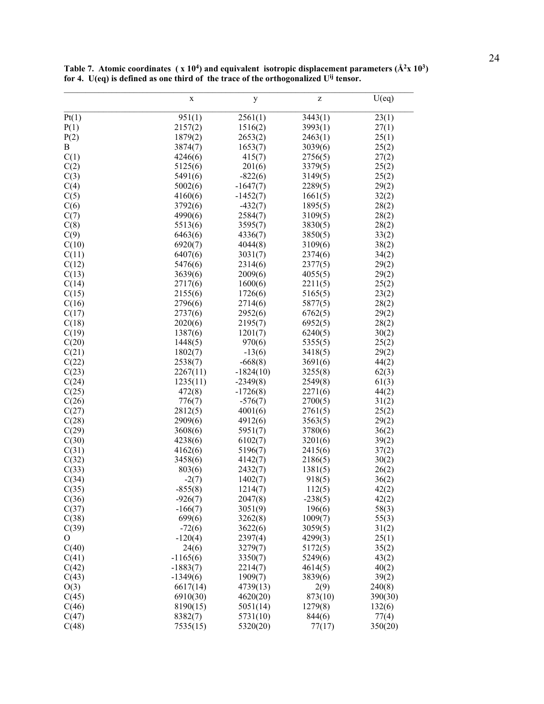|       | $\mathbf X$ | y           | Z         | $\bar{U}$ (eq) |
|-------|-------------|-------------|-----------|----------------|
| Pt(1) | 951(1)      | 2561(1)     | 3443(1)   | 23(1)          |
| P(1)  | 2157(2)     | 1516(2)     | 3993(1)   | 27(1)          |
| P(2)  | 1879(2)     | 2653(2)     | 2463(1)   | 25(1)          |
| B     | 3874(7)     | 1653(7)     | 3039(6)   | 25(2)          |
| C(1)  | 4246(6)     | 415(7)      | 2756(5)   | 27(2)          |
| C(2)  | 5125(6)     | 201(6)      | 3379(5)   | 25(2)          |
| C(3)  | 5491(6)     | $-822(6)$   | 3149(5)   | 25(2)          |
| C(4)  | 5002(6)     | $-1647(7)$  | 2289(5)   | 29(2)          |
| C(5)  | 4160(6)     | $-1452(7)$  | 1661(5)   | 32(2)          |
| C(6)  | 3792(6)     | $-432(7)$   | 1895(5)   | 28(2)          |
| C(7)  | 4990(6)     | 2584(7)     | 3109(5)   | 28(2)          |
| C(8)  | 5513(6)     | 3595(7)     | 3830(5)   | 28(2)          |
| C(9)  | 6463(6)     | 4336(7)     | 3850(5)   | 33(2)          |
| C(10) | 6920(7)     | 4044(8)     | 3109(6)   | 38(2)          |
| C(11) | 6407(6)     | 3031(7)     | 2374(6)   | 34(2)          |
| C(12) | 5476(6)     | 2314(6)     | 2377(5)   | 29(2)          |
| C(13) | 3639(6)     | 2009(6)     | 4055(5)   | 29(2)          |
| C(14) | 2717(6)     | 1600(6)     | 2211(5)   | 25(2)          |
| C(15) | 2155(6)     | 1726(6)     | 5165(5)   | 23(2)          |
| C(16) | 2796(6)     | 2714(6)     | 5877(5)   | 28(2)          |
| C(17) | 2737(6)     | 2952(6)     | 6762(5)   | 29(2)          |
| C(18) | 2020(6)     | 2195(7)     | 6952(5)   | 28(2)          |
| C(19) | 1387(6)     | 1201(7)     | 6240(5)   | 30(2)          |
| C(20) | 1448(5)     | 970(6)      | 5355(5)   | 25(2)          |
| C(21) | 1802(7)     | $-13(6)$    | 3418(5)   | 29(2)          |
| C(22) | 2538(7)     | $-668(8)$   | 3691(6)   | 44(2)          |
| C(23) | 2267(11)    | $-1824(10)$ | 3255(8)   | 62(3)          |
| C(24) | 1235(11)    | $-2349(8)$  | 2549(8)   | 61(3)          |
| C(25) | 472(8)      | $-1726(8)$  | 2271(6)   | 44(2)          |
| C(26) | 776(7)      | $-576(7)$   | 2700(5)   | 31(2)          |
| C(27) | 2812(5)     | 4001(6)     | 2761(5)   | 25(2)          |
| C(28) | 2909(6)     | 4912(6)     | 3563(5)   | 29(2)          |
| C(29) | 3608(6)     | 5951(7)     | 3780(6)   | 36(2)          |
| C(30) | 4238(6)     | 6102(7)     | 3201(6)   | 39(2)          |
| C(31) | 4162(6)     | 5196(7)     | 2415(6)   | 37(2)          |
| C(32) | 3458(6)     | 4142(7)     | 2186(5)   | 30(2)          |
| C(33) | 803(6)      | 2432(7)     | 1381(5)   | 26(2)          |
| C(34) | $-2(7)$     | 1402(7)     | 918(5)    | 36(2)          |
| C(35) | $-855(8)$   | 1214(7)     | 112(5)    | 42(2)          |
| C(36) | $-926(7)$   | 2047(8)     | $-238(5)$ | 42(2)          |
| C(37) | $-166(7)$   | 3051(9)     | 196(6)    | 58(3)          |
| C(38) | 699(6)      | 3262(8)     | 1009(7)   | 55(3)          |
| C(39) | $-72(6)$    | 3622(6)     | 3059(5)   | 31(2)          |
| O     | $-120(4)$   | 2397(4)     | 4299(3)   | 25(1)          |
| C(40) | 24(6)       | 3279(7)     | 5172(5)   | 35(2)          |
| C(41) | $-1165(6)$  | 3350(7)     | 5249(6)   | 43(2)          |
| C(42) | $-1883(7)$  | 2214(7)     | 4614(5)   | 40(2)          |
| C(43) | $-1349(6)$  | 1909(7)     | 3839(6)   | 39(2)          |
| O(3)  | 6617(14)    | 4739(13)    | 2(9)      | 240(8)         |
| C(45) | 6910(30)    | 4620(20)    | 873(10)   | 390(30)        |
| C(46) | 8190(15)    | 5051(14)    | 1279(8)   | 132(6)         |
| C(47) | 8382(7)     | 5731(10)    | 844(6)    | 77(4)          |
| C(48) | 7535(15)    | 5320(20)    | 77(17)    | 350(20)        |

**Table 7. Atomic coordinates ( x 104) and equivalent isotropic displacement parameters (Å2x 103) for 4. U(eq) is defined as one third of the trace of the orthogonalized Uij tensor.**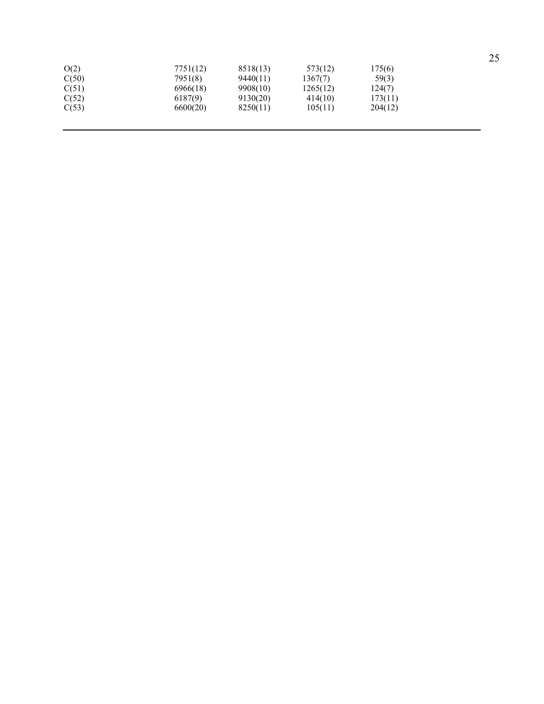| O(2)  | 7751(12) | 8518(13) | 573(12)  | 175(6)  |  |
|-------|----------|----------|----------|---------|--|
| C(50) | 7951(8)  | 9440(11) | 1367(7)  | 59(3)   |  |
| C(51) | 6966(18) | 9908(10) | 1265(12) | 124(7)  |  |
| C(52) | 6187(9)  | 9130(20) | 414(10)  | 173(11) |  |
| C(53) | 6600(20) | 8250(11) | 105(11)  | 204(12) |  |
|       |          |          |          |         |  |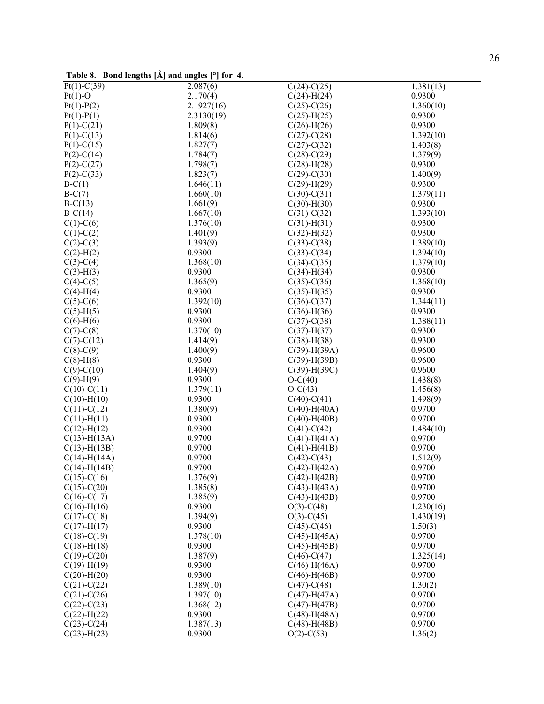**Table 8. Bond lengths [Å] and angles [°] for 4.**

| $Pt(1)-C(39)$                      | 2.087(6)             | $C(24)-C(25)$                         | 1.381(13)            |
|------------------------------------|----------------------|---------------------------------------|----------------------|
| $Pt(1)-O$                          | 2.170(4)             | $C(24)$ -H $(24)$                     | 0.9300               |
| $Pt(1)-P(2)$                       | 2.1927(16)           | $C(25)-C(26)$                         | 1.360(10)            |
| $Pt(1)-P(1)$                       | 2.3130(19)           | $C(25)$ -H $(25)$                     | 0.9300               |
| $P(1)-C(21)$                       | 1.809(8)             | $C(26)$ -H $(26)$                     | 0.9300               |
| $P(1)-C(13)$                       | 1.814(6)             | $C(27) - C(28)$                       | 1.392(10)            |
| $P(1)-C(15)$                       | 1.827(7)             | $C(27)-C(32)$                         | 1.403(8)             |
| $P(2)-C(14)$                       | 1.784(7)             | $C(28)-C(29)$                         | 1.379(9)             |
| $P(2)-C(27)$                       | 1.798(7)             | $C(28)$ -H $(28)$                     | 0.9300               |
| $P(2)-C(33)$                       | 1.823(7)             | $C(29) - C(30)$                       | 1.400(9)             |
| $B-C(1)$                           | 1.646(11)            | $C(29) - H(29)$                       | 0.9300               |
| $B-C(7)$                           | 1.660(10)            | $C(30)-C(31)$                         | 1.379(11)            |
| $B-C(13)$                          | 1.661(9)             | $C(30) - H(30)$                       | 0.9300               |
| $B-C(14)$                          | 1.667(10)            | $C(31)-C(32)$                         | 1.393(10)            |
| $C(1)-C(6)$                        | 1.376(10)            | $C(31) - H(31)$                       | 0.9300               |
| $C(1)-C(2)$                        | 1.401(9)             | $C(32)$ -H $(32)$                     | 0.9300               |
| $C(2) - C(3)$                      | 1.393(9)             | $C(33)-C(38)$                         | 1.389(10)            |
| $C(2)$ -H $(2)$                    | 0.9300               | $C(33)-C(34)$                         | 1.394(10)            |
| $C(3)-C(4)$                        | 1.368(10)            | $C(34)-C(35)$                         | 1.379(10)            |
| $C(3)-H(3)$                        | 0.9300               | $C(34)$ -H $(34)$                     | 0.9300               |
| $C(4)-C(5)$                        | 1.365(9)             | $C(35)-C(36)$                         | 1.368(10)            |
| $C(4)-H(4)$                        | 0.9300               | $C(35)$ -H $(35)$                     | 0.9300               |
| $C(5)-C(6)$                        | 1.392(10)            | $C(36)-C(37)$                         | 1.344(11)            |
| $C(5)-H(5)$                        | 0.9300               | $C(36) - H(36)$                       | 0.9300               |
| $C(6)-H(6)$                        | 0.9300               | $C(37) - C(38)$                       | 1.388(11)            |
| $C(7)$ - $C(8)$                    | 1.370(10)            | $C(37) - H(37)$                       | 0.9300               |
| $C(7)$ - $C(12)$                   | 1.414(9)             | $C(38) - H(38)$                       | 0.9300               |
| $C(8) - C(9)$                      | 1.400(9)             | $C(39)$ -H(39A)                       | 0.9600               |
|                                    | 0.9300               | $C(39) - H(39B)$                      | 0.9600               |
| $C(8)-H(8)$                        |                      |                                       | 0.9600               |
| $C(9) - C(10)$                     | 1.404(9)<br>0.9300   | $C(39)$ -H $(39C)$                    |                      |
| $C(9)-H(9)$                        |                      | $O-C(40)$                             | 1.438(8)             |
| $C(10)-C(11)$<br>$C(10)$ -H $(10)$ | 1.379(11)<br>0.9300  | $O-C(43)$<br>$C(40) - C(41)$          | 1.456(8)<br>1.498(9) |
| $C(11)-C(12)$                      | 1.380(9)             | $C(40)$ -H(40A)                       | 0.9700               |
|                                    | 0.9300               |                                       | 0.9700               |
| $C(11)$ -H $(11)$                  | 0.9300               | $C(40)$ -H $(40B)$                    |                      |
| $C(12)$ -H $(12)$                  | 0.9700               | $C(41) - C(42)$                       | 1.484(10)<br>0.9700  |
| $C(13)$ -H(13A)                    | 0.9700               | $C(41)$ -H $(41A)$<br>$C(41)$ -H(41B) | 0.9700               |
| $C(13)$ -H(13B)                    | 0.9700               | $C(42) - C(43)$                       |                      |
| $C(14)$ -H $(14A)$                 | 0.9700               |                                       | 1.512(9)<br>0.9700   |
| $C(14)$ -H $(14B)$                 |                      | $C(42)$ -H(42A)                       |                      |
| $C(15)-C(16)$                      | 1.376(9)<br>1.385(8) | $C(42)$ -H $(42B)$                    | 0.9700               |
| $C(15)-C(20)$                      | 1.385(9)             | $C(43)$ -H(43A)                       | 0.9700<br>0.9700     |
| $C(16)-C(17)$                      | 0.9300               | $C(43)$ -H $(43B)$                    |                      |
| $C(16)$ -H $(16)$                  | 1.394(9)             | $O(3)-C(48)$                          | 1.230(16)            |
| $C(17)-C(18)$                      | 0.9300               | $O(3)-C(45)$                          | 1.430(19)            |
| $C(17)$ -H $(17)$                  |                      | $C(45)-C(46)$                         | 1.50(3)<br>0.9700    |
| $C(18)-C(19)$                      | 1.378(10)            | $C(45)$ -H(45A)                       |                      |
| $C(18)$ -H $(18)$                  | 0.9300               | $C(45)$ -H $(45B)$                    | 0.9700               |
| $C(19)-C(20)$                      | 1.387(9)             | $C(46) - C(47)$<br>$C(46)$ -H(46A)    | 1.325(14)            |
| $C(19)$ -H $(19)$                  | 0.9300<br>0.9300     |                                       | 0.9700               |
| $C(20)$ -H $(20)$                  |                      | $C(46)$ -H $(46B)$                    | 0.9700               |
| $C(21)-C(22)$                      | 1.389(10)            | $C(47) - C(48)$                       | 1.30(2)              |
| $C(21)-C(26)$                      | 1.397(10)            | $C(47)$ -H(47A)                       | 0.9700               |
| $C(22) - C(23)$                    | 1.368(12)            | $C(47)$ -H $(47B)$                    | 0.9700               |
| $C(22)$ -H $(22)$                  | 0.9300               | $C(48)$ -H(48A)                       | 0.9700               |
| $C(23)-C(24)$                      | 1.387(13)            | $C(48)$ -H $(48B)$                    | 0.9700               |
| $C(23)$ -H $(23)$                  | 0.9300               | $O(2)$ -C(53)                         | 1.36(2)              |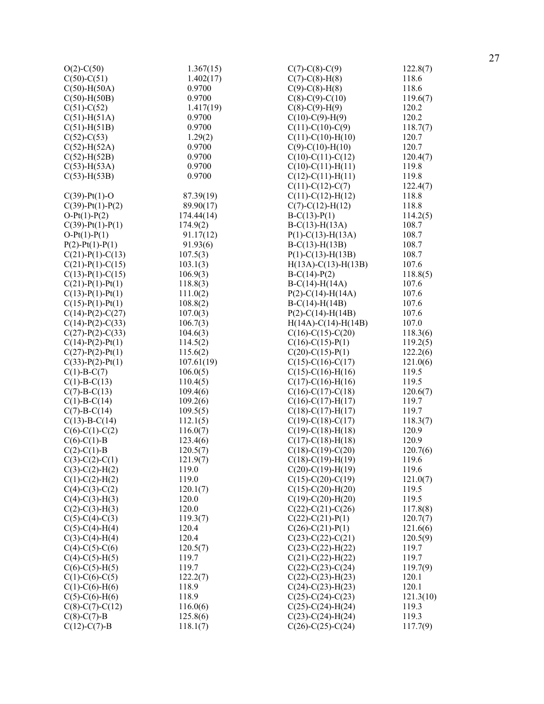| $O(2)$ -C $(50)$       | 1.367(15)         | $C(7)$ -C(8)-C(9)                               | 122.8(7)          |
|------------------------|-------------------|-------------------------------------------------|-------------------|
| $C(50)-C(51)$          | 1.402(17)         | $C(7)$ -C(8)-H(8)                               | 118.6             |
| $C(50)$ -H $(50A)$     | 0.9700            | $C(9)$ -C(8)-H(8)                               | 118.6             |
| $C(50)$ -H $(50B)$     | 0.9700            | $C(8)-C(9)-C(10)$                               | 119.6(7)          |
| $C(51) - C(52)$        | 1.417(19)         | $C(8)-C(9)-H(9)$                                | 120.2             |
| $C(51)$ -H(51A)        | 0.9700            | $C(10)-C(9)-H(9)$                               | 120.2             |
| $C(51)$ -H $(51B)$     | 0.9700            | $C(11)-C(10)-C(9)$                              | 118.7(7)          |
| $C(52) - C(53)$        | 1.29(2)           | $C(11)-C(10)-H(10)$                             | 120.7             |
| $C(52)$ -H(52A)        | 0.9700            | $C(9) - C(10) - H(10)$                          | 120.7             |
| $C(52)$ -H(52B)        | 0.9700            | $C(10)-C(11)-C(12)$                             | 120.4(7)          |
| $C(53)$ -H(53A)        | 0.9700            | $C(10)-C(11)-H(11)$                             | 119.8             |
| $C(53)$ -H(53B)        | 0.9700            | $C(12)-C(11)-H(11)$                             | 119.8             |
|                        |                   | $C(11)-C(12)-C(7)$                              | 122.4(7)          |
| $C(39) - Pt(1) - O$    | 87.39(19)         | $C(11)-C(12)-H(12)$                             | 118.8             |
| $C(39) - Pt(1) - P(2)$ | 89.90(17)         | $C(7)$ - $C(12)$ - $H(12)$                      | 118.8             |
| $O-Pt(1)-P(2)$         | 174.44(14)        | $B-C(13)-P(1)$                                  | 114.2(5)          |
| $C(39) - Pt(1) - P(1)$ | 174.9(2)          | $B-C(13) - H(13A)$                              | 108.7             |
| $O-Pt(1)-P(1)$         | 91.17(12)         | $P(1)-C(13)-H(13A)$                             | 108.7             |
| $P(2) - Pt(1) - P(1)$  | 91.93(6)          | $B-C(13) - H(13B)$                              | 108.7             |
| $C(21)$ -P(1)-C(13)    | 107.5(3)          | $P(1)-C(13)-H(13B)$                             | 108.7             |
| $C(21) - P(1) - C(15)$ | 103.1(3)          | $H(13A)-C(13)-H(13B)$                           | 107.6             |
| $C(13) - P(1) - C(15)$ | 106.9(3)          | $B-C(14)-P(2)$                                  | 118.8(5)          |
| $C(21) - P(1) - Pt(1)$ | 118.8(3)          | $B-C(14)-H(14A)$                                | 107.6             |
| $C(13) - P(1) - Pt(1)$ | 111.0(2)          | $P(2) - C(14) - H(14A)$                         | 107.6             |
| $C(15)-P(1)-Pt(1)$     | 108.8(2)          | $B-C(14)-H(14B)$                                | 107.6             |
| $C(14)-P(2)-C(27)$     | 107.0(3)          | $P(2) - C(14) - H(14B)$                         | 107.6             |
| $C(14)-P(2)-C(33)$     | 106.7(3)          | $H(14A)-C(14)-H(14B)$                           | 107.0             |
| $C(27) - P(2) - C(33)$ | 104.6(3)          | $C(16)-C(15)-C(20)$                             | 118.3(6)          |
| $C(14)-P(2)-Pt(1)$     | 114.5(2)          | $C(16)-C(15)-P(1)$                              | 119.2(5)          |
| $C(27) - P(2) - P(t)$  | 115.6(2)          | $C(20)-C(15)-P(1)$                              | 122.2(6)          |
| $C(33) - P(2) - Pt(1)$ | 107.61(19)        | $C(15)-C(16)-C(17)$                             | 121.0(6)          |
| $C(1)$ -B-C(7)         | 106.0(5)          | $C(15)-C(16)-H(16)$                             | 119.5             |
| $C(1)$ -B-C(13)        | 110.4(5)          | $C(17)-C(16)-H(16)$                             | 119.5             |
| $C(7)$ -B-C(13)        | 109.4(6)          | $C(16)-C(17)-C(18)$                             | 120.6(7)          |
| $C(1)$ -B-C(14)        | 109.2(6)          | $C(16)-C(17)-H(17)$                             | 119.7             |
| $C(7)$ -B-C(14)        | 109.5(5)          | $C(18)-C(17)-H(17)$                             | 119.7             |
| $C(13)$ -B-C(14)       | 112.1(5)          | $C(19)-C(18)-C(17)$                             | 118.3(7)          |
| $C(6)-C(1)-C(2)$       | 116.0(7)          | $C(19)-C(18)-H(18)$                             | 120.9             |
| $C(6)-C(1)-B$          | 123.4(6)          | $C(17)-C(18)-H(18)$                             | 120.9             |
| $C(2)-C(1)-B$          | 120.5(7)          | $C(18)-C(19)-C(20)$                             | 120.7(6)          |
| $C(3)-C(2)-C(1)$       | 121.9(7)          | $C(18)-C(19)-H(19)$                             | 119.6             |
| $C(3)-C(2)-H(2)$       | 119.0             | $C(20)$ -C(19)-H(19)                            | 119.6             |
| $C(1)$ -C(2)-H(2)      | 119.0             | $C(15)-C(20)-C(19)$                             | 121.0(7)          |
| $C(4)-C(3)-C(2)$       | 120.1(7)          | $C(15)-C(20)-H(20)$                             | 119.5             |
| $C(4)-C(3)-H(3)$       | 120.0             | $C(19)-C(20)-H(20)$                             | 119.5             |
| $C(2)$ -C(3)-H(3)      | 120.0             | $C(22) - C(21) - C(26)$                         | 117.8(8)          |
| $C(5)-C(4)-C(3)$       | 119.3(7)          | $C(22) - C(21) - P(1)$                          | 120.7(7)          |
| $C(5)-C(4)-H(4)$       | 120.4             | $C(26)-C(21)-P(1)$                              | 121.6(6)          |
| $C(3)-C(4)-H(4)$       | 120.4             | $C(23)-C(22)-C(21)$                             | 120.5(9)          |
| $C(4)-C(5)-C(6)$       | 120.5(7)<br>119.7 | $C(23)-C(22)-H(22)$                             | 119.7             |
| $C(4)-C(5)-H(5)$       |                   | $C(21)-C(22)-H(22)$                             | 119.7             |
| $C(6)-C(5)-H(5)$       | 119.7             | $C(22)$ -C(23)-C(24)<br>$C(22) - C(23) - H(23)$ | 119.7(9)<br>120.1 |
| $C(1)$ -C(6)-C(5)      | 122.2(7)<br>118.9 | $C(24)-C(23)-H(23)$                             | 120.1             |
| $C(1)$ -C(6)-H(6)      | 118.9             |                                                 | 121.3(10)         |
| $C(5)-C(6)-H(6)$       | 116.0(6)          | $C(25)-C(24)-C(23)$                             |                   |
| $C(8)-C(7)-C(12)$      |                   | $C(25)-C(24)-H(24)$                             | 119.3<br>119.3    |
| $C(8)-C(7)-B$          | 125.8(6)          | $C(23)-C(24)-H(24)$                             |                   |
| $C(12)-C(7)-B$         | 118.1(7)          | $C(26)$ -C $(25)$ -C $(24)$                     | 117.7(9)          |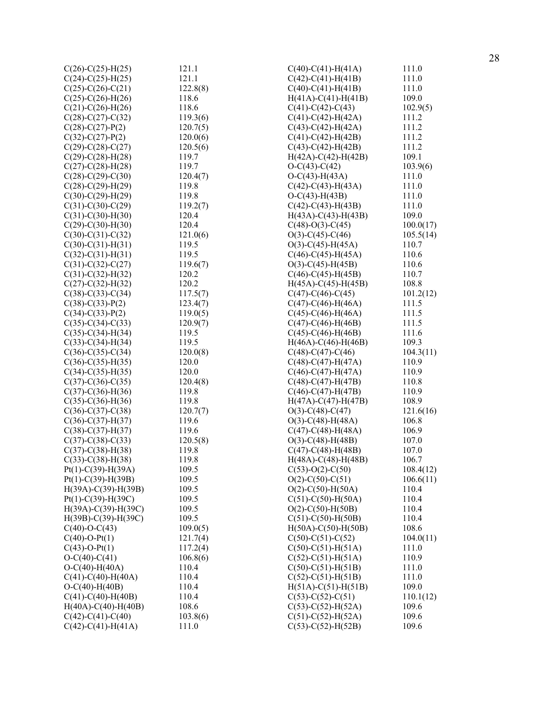| $C(26)-C(25)-H(25)$          | 121.1             | $C(40)$ - $C(41)$ - $H(41A)$ | 111.0     |
|------------------------------|-------------------|------------------------------|-----------|
| $C(24)-C(25)-H(25)$          | 121.1             | $C(42)$ -C $(41)$ -H $(41B)$ | 111.0     |
| $C(25)-C(26)-C(21)$          | 122.8(8)          | $C(40) - C(41) - H(41B)$     | 111.0     |
| $C(25)-C(26)-H(26)$          | 118.6             | $H(41A)-C(41)-H(41B)$        | 109.0     |
| $C(21)$ -C(26)-H(26)         | 118.6             | $C(41)$ -C(42)-C(43)         | 102.9(5)  |
| $C(28) - C(27) - C(32)$      | 119.3(6)          | $C(41)$ -C(42)-H(42A)        | 111.2     |
| $C(28)-C(27)-P(2)$           | 120.7(5)          | $C(43)-C(42)-H(42A)$         | 111.2     |
| $C(32)-C(27)-P(2)$           | 120.0(6)          | $C(41)$ -C(42)-H(42B)        | 111.2     |
| $C(29)$ -C $(28)$ -C $(27)$  | 120.5(6)          | $C(43)$ - $C(42)$ -H $(42B)$ | 111.2     |
| $C(29)$ -C $(28)$ -H $(28)$  | 119.7             | $H(42A)-C(42)-H(42B)$        | 109.1     |
| $C(27)$ -C(28)-H(28)         | 119.7             | $O-C(43) - C(42)$            | 103.9(6)  |
| $C(28)$ -C(29)-C(30)         | 120.4(7)          | $O-C(43)$ -H $(43A)$         | 111.0     |
| $C(28)-C(29)-H(29)$          | 119.8             | $C(42)$ -C(43)-H(43A)        | 111.0     |
| $C(30)-C(29)-H(29)$          | 119.8             | $O-C(43) - H(43B)$           | 111.0     |
| $C(31)-C(30)-C(29)$          | 119.2(7)          | $C(42)$ - $C(43)$ -H $(43B)$ | 111.0     |
| $C(31)-C(30)-H(30)$          | 120.4             | $H(43A)-C(43)-H(43B)$        | 109.0     |
| $C(29)$ -C(30)-H(30)         | 120.4             | $C(48)-O(3)-C(45)$           | 100.0(17) |
| $C(30)-C(31)-C(32)$          | 121.0(6)          | $O(3)$ -C(45)-C(46)          | 105.5(14) |
| $C(30)-C(31)-H(31)$          | 119.5             | $O(3)$ -C(45)-H(45A)         | 110.7     |
| $C(32)-C(31)-H(31)$          | 119.5             | $C(46)$ -C(45)-H(45A)        | 110.6     |
| $C(31)-C(32)-C(27)$          | 119.6(7)          | $O(3)$ -C(45)-H(45B)         | 110.6     |
| $C(31)-C(32)-H(32)$          | 120.2             | $C(46) - C(45) - H(45B)$     | 110.7     |
| $C(27)$ -C(32)-H(32)         | 120.2             | $H(45A) - C(45) - H(45B)$    | 108.8     |
| $C(38)-C(33)-C(34)$          | 117.5(7)          | $C(47)$ -C $(46)$ -C $(45)$  | 101.2(12) |
| $C(38)-C(33)-P(2)$           | 123.4(7)          | $C(47)$ -C(46)-H(46A)        | 111.5     |
| $C(34)-C(33)-P(2)$           | 119.0(5)          | $C(45)$ -C $(46)$ -H $(46A)$ | 111.5     |
| $C(35)-C(34)-C(33)$          | 120.9(7)          | $C(47)$ -C $(46)$ -H $(46B)$ | 111.5     |
| $C(35)-C(34)-H(34)$          | 119.5             | $C(45)$ -C $(46)$ -H $(46B)$ | 111.6     |
| $C(33)-C(34)-H(34)$          | 119.5             | $H(46A) - C(46) - H(46B)$    | 109.3     |
| $C(36)-C(35)-C(34)$          | 120.0(8)          | $C(48)$ -C $(47)$ -C $(46)$  | 104.3(11) |
| $C(36)-C(35)-H(35)$          | 120.0             | $C(48)$ -C(47)-H(47A)        | 110.9     |
| $C(34)-C(35)-H(35)$          | 120.0             | $C(46)$ -C $(47)$ -H $(47A)$ | 110.9     |
| $C(37)$ -C(36)-C(35)         | 120.4(8)          | $C(48)$ -C $(47)$ -H $(47B)$ | 110.8     |
| $C(37)$ -C $(36)$ -H $(36)$  | 119.8             | $C(46) - C(47) - H(47B)$     | 110.9     |
| $C(35)-C(36)-H(36)$          | 119.8             | $H(47A) - C(47) - H(47B)$    | 108.9     |
| $C(36)-C(37)-C(38)$          | 120.7(7)          | $O(3)-C(48)-C(47)$           | 121.6(16) |
| $C(36)-C(37)-H(37)$          | 119.6             | $O(3)$ -C(48)-H(48A)         | 106.8     |
| $C(38)-C(37)-H(37)$          | 119.6             | $C(47)$ -C(48)-H(48A)        | 106.9     |
| $C(37) - C(38) - C(33)$      | 120.5(8)          | $O(3)$ -C(48)-H(48B)         | 107.0     |
| $C(37)$ -C $(38)$ -H $(38)$  | 119.8             | $C(47)$ -C $(48)$ -H $(48B)$ | 107.0     |
| $C(33)-C(38)-H(38)$          | 119.8             | $H(48A)-C(48)-H(48B)$        | 106.7     |
| $Pt(1)-C(39)-H(39A)$         | 109.5             | $C(53)-O(2)-C(50)$           | 108.4(12) |
| $Pt(1)-C(39)-H(39B)$         | 109.5             | $O(2)$ -C(50)-C(51)          | 106.6(11) |
| $H(39A)-C(39)-H(39B)$        | 109.5             | $O(2)$ -C(50)-H(50A)         | 110.4     |
| $Pt(1)-C(39)-H(39C)$         | 109.5             | $C(51) - C(50) - H(50A)$     | 110.4     |
| $H(39A)-C(39)-H(39C)$        | 109.5             | $O(2)$ -C(50)-H(50B)         | 110.4     |
|                              | 109.5             | $C(51)$ - $C(50)$ - $H(50B)$ | 110.4     |
| $H(39B) - C(39) - H(39C)$    |                   |                              |           |
| $C(40)-O-C(43)$              | 109.0(5)          | $H(50A)-C(50)-H(50B)$        | 108.6     |
| $C(40)-O-Pt(1)$              | 121.7(4)          | $C(50)-C(51)-C(52)$          | 104.0(11) |
| $C(43)-O-Pt(1)$              | 117.2(4)          | $C(50)$ - $C(51)$ - $H(51A)$ | 111.0     |
| $O-C(40)-C(41)$              | 106.8(6)<br>110.4 | $C(52)-C(51)-H(51A)$         | 110.9     |
| $O-C(40)$ -H $(40A)$         |                   | $C(50)-C(51)-H(51B)$         | 111.0     |
| $C(41)$ -C(40)-H(40A)        | 110.4             | $C(52)-C(51)-H(51B)$         | 111.0     |
| $O-C(40) - H(40B)$           | 110.4             | $H(51A)-C(51)-H(51B)$        | 109.0     |
| $C(41)$ - $C(40)$ - $H(40B)$ | 110.4             | $C(53)-C(52)-C(51)$          | 110.1(12) |
| $H(40A)-C(40)-H(40B)$        | 108.6             | $C(53)-C(52)-H(52A)$         | 109.6     |
| $C(42)$ -C $(41)$ -C $(40)$  | 103.8(6)          | $C(51)-C(52)-H(52A)$         | 109.6     |
| $C(42)$ -C(41)-H(41A)        | 111.0             | $C(53)-C(52)-H(52B)$         | 109.6     |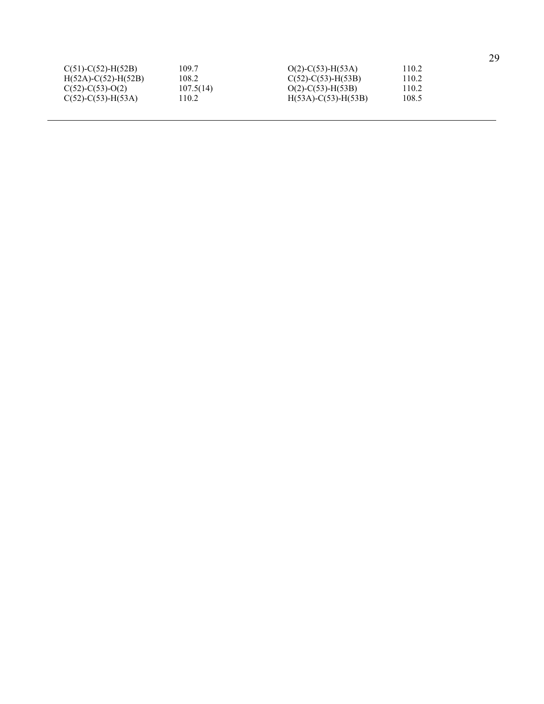| $C(51)$ - $C(52)$ -H $(52B)$ | 109.7     | $O(2)$ -C(53)-H(53A)      | 110.2 |
|------------------------------|-----------|---------------------------|-------|
| $H(52A) - C(52) - H(52B)$    | 108.2     | $C(52)$ -C(53)-H(53B)     | 110.2 |
| $C(52) - C(53) - O(2)$       | 107.5(14) | $O(2)$ -C(53)-H(53B)      | 110.2 |
| $C(52)$ -C(53)-H(53A)        | 10.2      | $H(53A) - C(53) - H(53B)$ | 108.5 |
|                              |           |                           |       |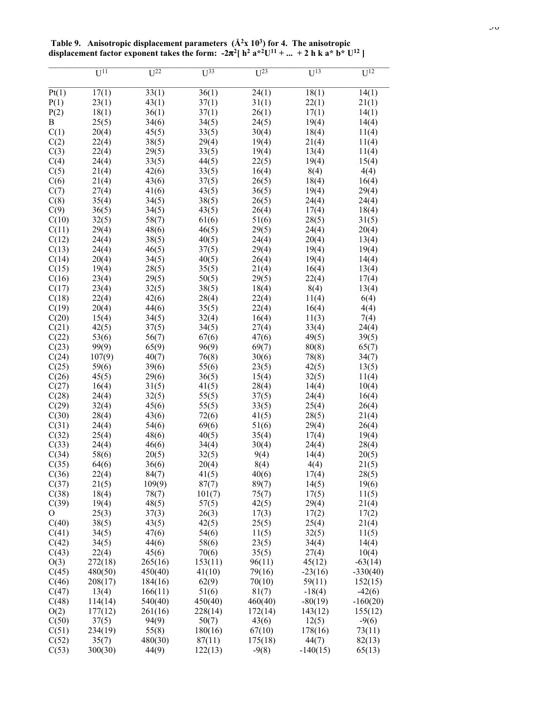\_\_\_\_\_\_\_\_\_\_\_\_\_\_\_\_\_\_\_\_\_\_\_\_\_\_\_\_\_\_\_\_\_\_\_\_\_\_\_\_\_\_\_\_\_\_\_\_\_\_\_\_\_\_\_\_\_\_\_\_\_\_\_\_\_\_\_\_\_\_\_\_\_\_\_\_\_\_  $U^{11}$   $U^{22}$   $U^{33}$   $U^{23}$   $U^{13}$   $U^{12}$ \_\_\_\_\_\_\_\_\_\_\_\_\_\_\_\_\_\_\_\_\_\_\_\_\_\_\_\_\_\_\_\_\_\_\_\_\_\_\_\_\_\_\_\_\_\_\_\_\_\_\_\_\_\_\_\_\_\_\_\_\_\_\_\_\_\_\_\_\_\_\_\_\_\_\_\_\_\_ Pt(1)  $17(1)$   $33(1)$   $36(1)$   $24(1)$   $18(1)$   $14(1)$  $P(1)$  23(1) 43(1) 37(1) 31(1) 22(1) 21(1)  $P(2)$  18(1) 36(1) 37(1) 26(1) 17(1) 14(1) B  $25(5)$   $34(6)$   $34(5)$   $24(5)$   $19(4)$   $14(4)$ C(1)  $20(4)$   $45(5)$   $33(5)$   $30(4)$   $18(4)$   $11(4)$  $C(2)$  22(4) 38(5) 29(4) 19(4) 21(4) 11(4) C(3)  $22(4)$   $29(5)$   $33(5)$   $19(4)$   $13(4)$   $11(4)$ C(4)  $24(4)$   $33(5)$   $44(5)$   $22(5)$   $19(4)$   $15(4)$  $C(5)$  21(4) 42(6) 33(5) 16(4) 8(4) 4(4)  $C(6)$  21(4) 43(6) 37(5) 26(5) 18(4) 16(4)  $C(7)$  27(4) 41(6) 43(5) 36(5) 19(4) 29(4)  $C(8)$  35(4) 34(5) 38(5) 26(5) 24(4) 24(4)  $C(9)$  36(5) 34(5) 43(5) 26(4) 17(4) 18(4)  $C(10)$  32(5) 58(7) 61(6) 51(6) 28(5) 31(5)  $C(11)$  29(4) 48(6) 46(5) 29(5) 24(4) 20(4)  $C(12)$  24(4) 38(5) 40(5) 24(4) 20(4) 13(4) C(13) 24(4)  $46(5)$  37(5) 29(4) 19(4) 19(4)  $C(14)$  20(4) 34(5) 40(5) 26(4) 19(4) 14(4) C(15)  $19(4)$   $28(5)$   $35(5)$   $21(4)$   $16(4)$   $13(4)$  $C(16)$  23(4) 29(5) 50(5) 29(5) 22(4) 17(4)  $C(17)$  23(4) 32(5) 38(5) 18(4) 8(4) 13(4)  $C(18)$  22(4) 42(6) 28(4) 22(4) 11(4) 6(4)  $C(19)$  20(4) 44(6) 35(5) 22(4) 16(4) 4(4)  $C(20)$  15(4) 34(5) 32(4) 16(4) 11(3) 7(4)  $C(21)$  42(5) 37(5) 34(5) 27(4) 33(4) 24(4)  $C(22)$  53(6) 56(7) 67(6) 47(6) 49(5) 39(5)  $C(23)$  99(9) 65(9) 96(9) 69(7) 80(8) 65(7)  $C(24)$  107(9) 40(7) 76(8) 30(6) 78(8) 34(7)  $C(25)$  59(6) 39(6) 55(6) 23(5) 42(5) 13(5)  $C(26)$  45(5) 29(6) 36(5) 15(4) 32(5) 11(4)  $C(27)$  16(4) 31(5) 41(5) 28(4) 14(4) 10(4)  $C(28)$  24(4) 32(5) 55(5) 37(5) 24(4) 16(4)  $C(29)$  32(4) 45(6) 55(5) 33(5) 25(4) 26(4)  $C(30)$  28(4) 43(6) 72(6) 41(5) 28(5) 21(4) C(31) 24(4) 54(6) 69(6) 51(6) 29(4) 26(4)  $C(32)$  25(4) 48(6) 40(5) 35(4) 17(4) 19(4)  $C(33)$  24(4) 46(6) 34(4) 30(4) 24(4) 28(4) C(34) 58(6)  $20(5)$  32(5) 9(4) 14(4) 20(5) C(35) 64(6) 36(6) 20(4) 8(4) 4(4) 21(5)  $C(36)$  22(4) 84(7) 41(5) 40(6) 17(4) 28(5)  $C(37)$  21(5) 109(9) 87(7) 89(7) 14(5) 19(6)  $C(38)$  18(4) 78(7) 101(7) 75(7) 17(5) 11(5)  $C(39)$  19(4) 48(5) 57(5) 42(5) 29(4) 21(4) O 25(3)  $37(3)$  26(3)  $17(3)$   $17(2)$   $17(2)$  $C(40)$  38(5) 43(5) 42(5) 25(5) 25(4) 21(4) C(41)  $34(5)$   $47(6)$   $54(6)$   $11(5)$   $32(5)$   $11(5)$  $C(42)$  34(5) 44(6) 58(6) 23(5) 34(4) 14(4)  $C(43)$  22(4) 45(6) 70(6) 35(5) 27(4) 10(4)  $O(3)$  272(18) 265(16) 153(11) 96(11) 45(12) -63(14)  $C(45)$   $480(50)$   $450(40)$   $41(10)$   $79(16)$   $-23(16)$   $-330(40)$  $C(46)$  208(17) 184(16) 62(9) 70(10) 59(11) 152(15)  $C(47)$  13(4) 166(11) 51(6) 81(7) -18(4) -42(6)  $C(48)$  114(14) 540(40) 450(40) 460(40) -80(19) -160(20)  $O(2)$  177(12) 261(16) 228(14) 172(14) 143(12) 155(12)  $C(50)$   $37(5)$   $94(9)$   $50(7)$   $43(6)$   $12(5)$   $-9(6)$  $C(51)$  234(19) 55(8) 180(16) 67(10) 178(16) 73(11)  $C(52)$  35(7) 480(30) 87(11) 175(18) 44(7) 82(13)  $C(53)$  300(30) 44(9) 122(13) -9(8) -140(15) 65(13)

 **Table 9. Anisotropic displacement parameters (Å 2x 10 3) for 4. The anisotropic** displacement factor exponent takes the form:  $-2\pi^2$ [ h<sup>2</sup> a<sup>\*2</sup>U<sup>11</sup> + ... + 2 h k a\* b\* U<sup>12</sup> ]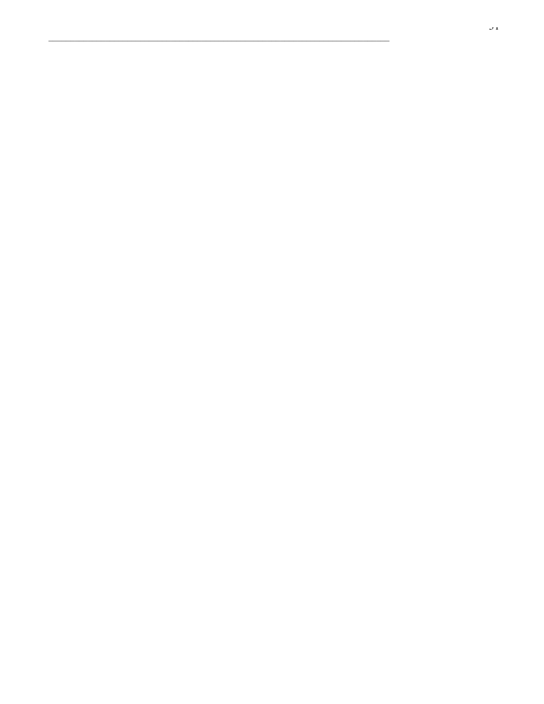$J_1$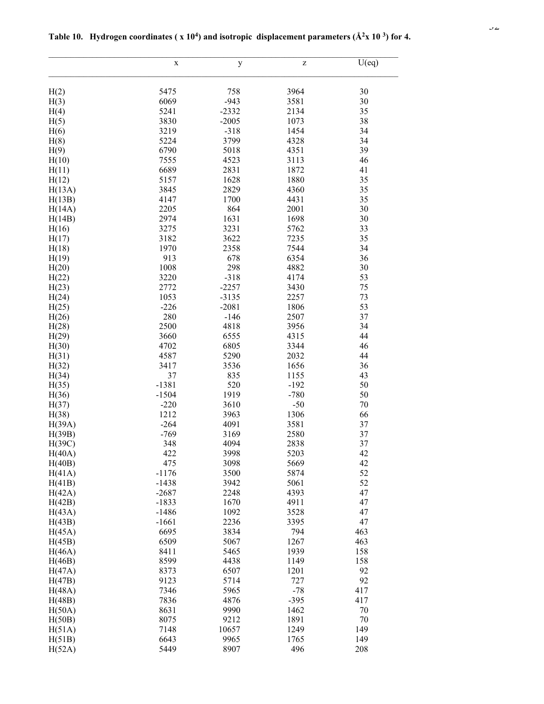|        | $\mathbf X$ | y       | Z      | $\overline{U}$ (eq) |
|--------|-------------|---------|--------|---------------------|
| H(2)   | 5475        | 758     | 3964   | 30                  |
| H(3)   | 6069        | $-943$  | 3581   | 30                  |
| H(4)   | 5241        | $-2332$ | 2134   | 35                  |
| H(5)   | 3830        | $-2005$ | 1073   | 38                  |
| H(6)   | 3219        | $-318$  | 1454   | 34                  |
| H(8)   | 5224        | 3799    | 4328   | 34                  |
| H(9)   | 6790        | 5018    | 4351   | 39                  |
| H(10)  | 7555        | 4523    | 3113   | 46                  |
| H(11)  | 6689        | 2831    | 1872   | 41                  |
|        | 5157        | 1628    | 1880   | 35                  |
| H(12)  |             |         |        |                     |
| H(13A) | 3845        | 2829    | 4360   | 35                  |
| H(13B) | 4147        | 1700    | 4431   | 35                  |
| H(14A) | 2205        | 864     | 2001   | 30                  |
| H(14B) | 2974        | 1631    | 1698   | 30                  |
| H(16)  | 3275        | 3231    | 5762   | 33                  |
| H(17)  | 3182        | 3622    | 7235   | 35                  |
| H(18)  | 1970        | 2358    | 7544   | 34                  |
| H(19)  | 913         | 678     | 6354   | 36                  |
| H(20)  | 1008        | 298     | 4882   | 30                  |
| H(22)  | 3220        | $-318$  | 4174   | 53                  |
| H(23)  | 2772        | $-2257$ | 3430   | 75                  |
| H(24)  | 1053        | $-3135$ | 2257   | 73                  |
| H(25)  | $-226$      | $-2081$ | 1806   | 53                  |
| H(26)  | 280         | $-146$  | 2507   | 37                  |
| H(28)  | 2500        | 4818    | 3956   | 34                  |
| H(29)  | 3660        | 6555    | 4315   | 44                  |
| H(30)  | 4702        | 6805    | 3344   | 46                  |
| H(31)  | 4587        | 5290    | 2032   | 44                  |
| H(32)  | 3417        | 3536    | 1656   | 36                  |
| H(34)  | 37          | 835     | 1155   | 43                  |
| H(35)  | $-1381$     | 520     | $-192$ | 50                  |
| H(36)  | $-1504$     | 1919    | $-780$ | 50                  |
| H(37)  | $-220$      | 3610    | $-50$  | 70                  |
| H(38)  | 1212        | 3963    | 1306   | 66                  |
| H(39A) | $-264$      | 4091    | 3581   | 37                  |
| H(39B) | $-769$      | 3169    | 2580   | 37                  |
| H(39C) | 348         | 4094    | 2838   | 37                  |
| H(40A) | 422         | 3998    | 5203   | 42                  |
| H(40B) | 475         | 3098    | 5669   | 42                  |
| H(41A) | $-1176$     | 3500    | 5874   | 52                  |
| H(41B) | $-1438$     | 3942    | 5061   | 52                  |
|        | $-2687$     | 2248    | 4393   | 47                  |
| H(42A) | $-1833$     |         |        |                     |
| H(42B) |             | 1670    | 4911   | 47                  |
| H(43A) | $-1486$     | 1092    | 3528   | 47                  |
| H(43B) | $-1661$     | 2236    | 3395   | 47                  |
| H(45A) | 6695        | 3834    | 794    | 463                 |
| H(45B) | 6509        | 5067    | 1267   | 463                 |
| H(46A) | 8411        | 5465    | 1939   | 158                 |
| H(46B) | 8599        | 4438    | 1149   | 158                 |
| H(47A) | 8373        | 6507    | 1201   | 92                  |
| H(47B) | 9123        | 5714    | 727    | 92                  |
| H(48A) | 7346        | 5965    | $-78$  | 417                 |
| H(48B) | 7836        | 4876    | $-395$ | 417                 |
| H(50A) | 8631        | 9990    | 1462   | 70                  |
| H(50B) | 8075        | 9212    | 1891   | 70                  |
| H(51A) | 7148        | 10657   | 1249   | 149                 |
| H(51B) | 6643        | 9965    | 1765   | 149                 |
| H(52A) | 5449        | 8907    | 496    | 208                 |